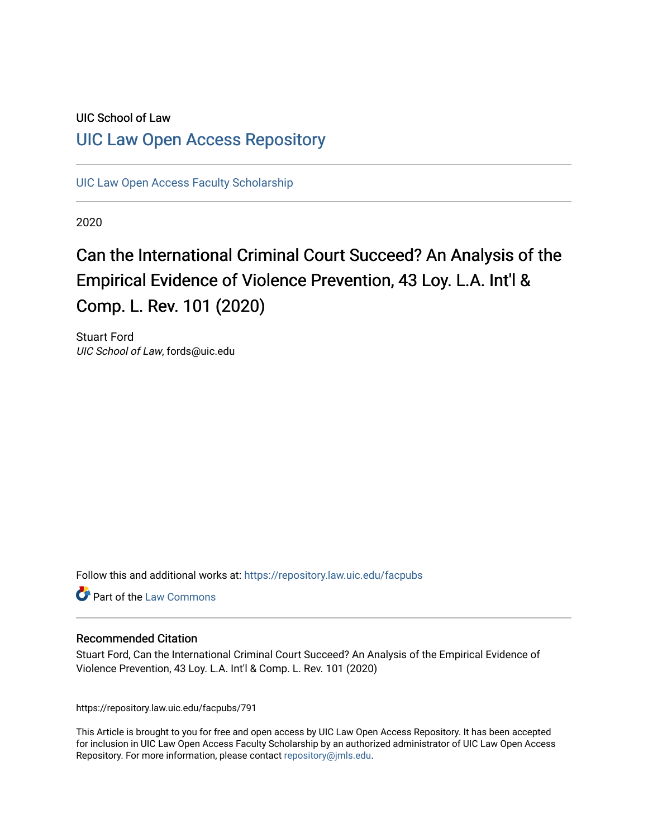# UIC School of Law [UIC Law Open Access Repository](https://repository.law.uic.edu/)

[UIC Law Open Access Faculty Scholarship](https://repository.law.uic.edu/facpubs)

2020

# Can the International Criminal Court Succeed? An Analysis of the Empirical Evidence of Violence Prevention, 43 Loy. L.A. Int'l & Comp. L. Rev. 101 (2020)

Stuart Ford UIC School of Law, fords@uic.edu

Follow this and additional works at: [https://repository.law.uic.edu/facpubs](https://repository.law.uic.edu/facpubs?utm_source=repository.law.uic.edu%2Ffacpubs%2F791&utm_medium=PDF&utm_campaign=PDFCoverPages) 

**Part of the [Law Commons](https://network.bepress.com/hgg/discipline/578?utm_source=repository.law.uic.edu%2Ffacpubs%2F791&utm_medium=PDF&utm_campaign=PDFCoverPages)** 

## Recommended Citation

Stuart Ford, Can the International Criminal Court Succeed? An Analysis of the Empirical Evidence of Violence Prevention, 43 Loy. L.A. Int'l & Comp. L. Rev. 101 (2020)

https://repository.law.uic.edu/facpubs/791

This Article is brought to you for free and open access by UIC Law Open Access Repository. It has been accepted for inclusion in UIC Law Open Access Faculty Scholarship by an authorized administrator of UIC Law Open Access Repository. For more information, please contact [repository@jmls.edu.](mailto:repository@jmls.edu)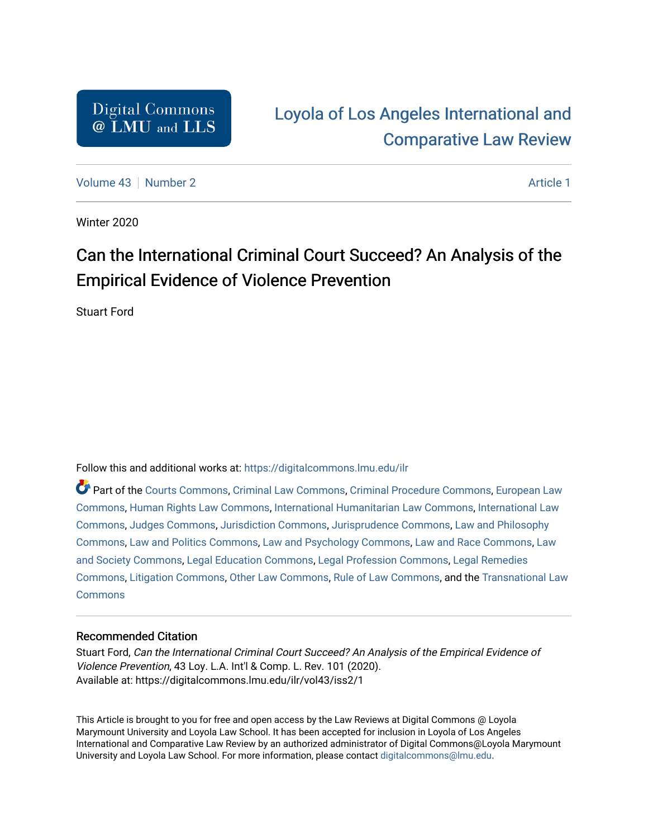# [Loyola of Los Angeles International and](https://digitalcommons.lmu.edu/ilr)  [Comparative Law Review](https://digitalcommons.lmu.edu/ilr)

[Volume 43](https://digitalcommons.lmu.edu/ilr/vol43) [Number 2](https://digitalcommons.lmu.edu/ilr/vol43/iss2) Article 1

Winter 2020

# Can the International Criminal Court Succeed? An Analysis of the Empirical Evidence of Violence Prevention

Stuart Ford

Follow this and additional works at: [https://digitalcommons.lmu.edu/ilr](https://digitalcommons.lmu.edu/ilr?utm_source=digitalcommons.lmu.edu%2Filr%2Fvol43%2Fiss2%2F1&utm_medium=PDF&utm_campaign=PDFCoverPages) 

Part of the [Courts Commons,](http://network.bepress.com/hgg/discipline/839?utm_source=digitalcommons.lmu.edu%2Filr%2Fvol43%2Fiss2%2F1&utm_medium=PDF&utm_campaign=PDFCoverPages) [Criminal Law Commons](http://network.bepress.com/hgg/discipline/912?utm_source=digitalcommons.lmu.edu%2Filr%2Fvol43%2Fiss2%2F1&utm_medium=PDF&utm_campaign=PDFCoverPages), [Criminal Procedure Commons](http://network.bepress.com/hgg/discipline/1073?utm_source=digitalcommons.lmu.edu%2Filr%2Fvol43%2Fiss2%2F1&utm_medium=PDF&utm_campaign=PDFCoverPages), [European Law](http://network.bepress.com/hgg/discipline/1084?utm_source=digitalcommons.lmu.edu%2Filr%2Fvol43%2Fiss2%2F1&utm_medium=PDF&utm_campaign=PDFCoverPages)  [Commons](http://network.bepress.com/hgg/discipline/1084?utm_source=digitalcommons.lmu.edu%2Filr%2Fvol43%2Fiss2%2F1&utm_medium=PDF&utm_campaign=PDFCoverPages), [Human Rights Law Commons,](http://network.bepress.com/hgg/discipline/847?utm_source=digitalcommons.lmu.edu%2Filr%2Fvol43%2Fiss2%2F1&utm_medium=PDF&utm_campaign=PDFCoverPages) [International Humanitarian Law Commons](http://network.bepress.com/hgg/discipline/1330?utm_source=digitalcommons.lmu.edu%2Filr%2Fvol43%2Fiss2%2F1&utm_medium=PDF&utm_campaign=PDFCoverPages), [International Law](http://network.bepress.com/hgg/discipline/609?utm_source=digitalcommons.lmu.edu%2Filr%2Fvol43%2Fiss2%2F1&utm_medium=PDF&utm_campaign=PDFCoverPages)  [Commons](http://network.bepress.com/hgg/discipline/609?utm_source=digitalcommons.lmu.edu%2Filr%2Fvol43%2Fiss2%2F1&utm_medium=PDF&utm_campaign=PDFCoverPages), [Judges Commons,](http://network.bepress.com/hgg/discipline/849?utm_source=digitalcommons.lmu.edu%2Filr%2Fvol43%2Fiss2%2F1&utm_medium=PDF&utm_campaign=PDFCoverPages) [Jurisdiction Commons](http://network.bepress.com/hgg/discipline/850?utm_source=digitalcommons.lmu.edu%2Filr%2Fvol43%2Fiss2%2F1&utm_medium=PDF&utm_campaign=PDFCoverPages), [Jurisprudence Commons,](http://network.bepress.com/hgg/discipline/610?utm_source=digitalcommons.lmu.edu%2Filr%2Fvol43%2Fiss2%2F1&utm_medium=PDF&utm_campaign=PDFCoverPages) [Law and Philosophy](http://network.bepress.com/hgg/discipline/1299?utm_source=digitalcommons.lmu.edu%2Filr%2Fvol43%2Fiss2%2F1&utm_medium=PDF&utm_campaign=PDFCoverPages)  [Commons](http://network.bepress.com/hgg/discipline/1299?utm_source=digitalcommons.lmu.edu%2Filr%2Fvol43%2Fiss2%2F1&utm_medium=PDF&utm_campaign=PDFCoverPages), [Law and Politics Commons,](http://network.bepress.com/hgg/discipline/867?utm_source=digitalcommons.lmu.edu%2Filr%2Fvol43%2Fiss2%2F1&utm_medium=PDF&utm_campaign=PDFCoverPages) [Law and Psychology Commons,](http://network.bepress.com/hgg/discipline/870?utm_source=digitalcommons.lmu.edu%2Filr%2Fvol43%2Fiss2%2F1&utm_medium=PDF&utm_campaign=PDFCoverPages) [Law and Race Commons,](http://network.bepress.com/hgg/discipline/1300?utm_source=digitalcommons.lmu.edu%2Filr%2Fvol43%2Fiss2%2F1&utm_medium=PDF&utm_campaign=PDFCoverPages) [Law](http://network.bepress.com/hgg/discipline/853?utm_source=digitalcommons.lmu.edu%2Filr%2Fvol43%2Fiss2%2F1&utm_medium=PDF&utm_campaign=PDFCoverPages)  [and Society Commons](http://network.bepress.com/hgg/discipline/853?utm_source=digitalcommons.lmu.edu%2Filr%2Fvol43%2Fiss2%2F1&utm_medium=PDF&utm_campaign=PDFCoverPages), [Legal Education Commons](http://network.bepress.com/hgg/discipline/857?utm_source=digitalcommons.lmu.edu%2Filr%2Fvol43%2Fiss2%2F1&utm_medium=PDF&utm_campaign=PDFCoverPages), [Legal Profession Commons,](http://network.bepress.com/hgg/discipline/1075?utm_source=digitalcommons.lmu.edu%2Filr%2Fvol43%2Fiss2%2F1&utm_medium=PDF&utm_campaign=PDFCoverPages) [Legal Remedies](http://network.bepress.com/hgg/discipline/618?utm_source=digitalcommons.lmu.edu%2Filr%2Fvol43%2Fiss2%2F1&utm_medium=PDF&utm_campaign=PDFCoverPages)  [Commons](http://network.bepress.com/hgg/discipline/618?utm_source=digitalcommons.lmu.edu%2Filr%2Fvol43%2Fiss2%2F1&utm_medium=PDF&utm_campaign=PDFCoverPages), [Litigation Commons,](http://network.bepress.com/hgg/discipline/910?utm_source=digitalcommons.lmu.edu%2Filr%2Fvol43%2Fiss2%2F1&utm_medium=PDF&utm_campaign=PDFCoverPages) [Other Law Commons,](http://network.bepress.com/hgg/discipline/621?utm_source=digitalcommons.lmu.edu%2Filr%2Fvol43%2Fiss2%2F1&utm_medium=PDF&utm_campaign=PDFCoverPages) [Rule of Law Commons,](http://network.bepress.com/hgg/discipline/1122?utm_source=digitalcommons.lmu.edu%2Filr%2Fvol43%2Fiss2%2F1&utm_medium=PDF&utm_campaign=PDFCoverPages) and the [Transnational Law](http://network.bepress.com/hgg/discipline/1123?utm_source=digitalcommons.lmu.edu%2Filr%2Fvol43%2Fiss2%2F1&utm_medium=PDF&utm_campaign=PDFCoverPages) **[Commons](http://network.bepress.com/hgg/discipline/1123?utm_source=digitalcommons.lmu.edu%2Filr%2Fvol43%2Fiss2%2F1&utm_medium=PDF&utm_campaign=PDFCoverPages)** 

# Recommended Citation

Stuart Ford, Can the International Criminal Court Succeed? An Analysis of the Empirical Evidence of Violence Prevention, 43 Loy. L.A. Int'l & Comp. L. Rev. 101 (2020). Available at: https://digitalcommons.lmu.edu/ilr/vol43/iss2/1

This Article is brought to you for free and open access by the Law Reviews at Digital Commons @ Loyola Marymount University and Loyola Law School. It has been accepted for inclusion in Loyola of Los Angeles International and Comparative Law Review by an authorized administrator of Digital Commons@Loyola Marymount University and Loyola Law School. For more information, please contact [digitalcommons@lmu.edu.](mailto:digitalcommons@lmu.edu)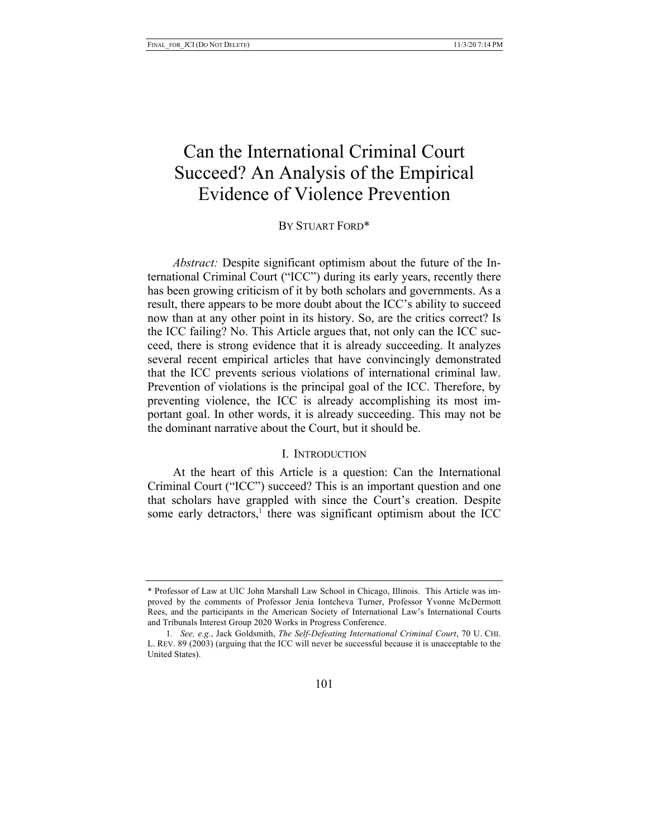# Can the International Criminal Court Succeed? An Analysis of the Empirical Evidence of Violence Prevention

## BY STUART FORD\*

*Abstract:* Despite significant optimism about the future of the International Criminal Court ("ICC") during its early years, recently there has been growing criticism of it by both scholars and governments. As a result, there appears to be more doubt about the ICC's ability to succeed now than at any other point in its history. So, are the critics correct? Is the ICC failing? No. This Article argues that, not only can the ICC succeed, there is strong evidence that it is already succeeding. It analyzes several recent empirical articles that have convincingly demonstrated that the ICC prevents serious violations of international criminal law. Prevention of violations is the principal goal of the ICC. Therefore, by preventing violence, the ICC is already accomplishing its most important goal. In other words, it is already succeeding. This may not be the dominant narrative about the Court, but it should be.

#### I. INTRODUCTION

At the heart of this Article is a question: Can the International Criminal Court ("ICC") succeed? This is an important question and one that scholars have grappled with since the Court's creation. Despite some early detractors, $<sup>1</sup>$  there was significant optimism about the ICC</sup>

<sup>\*</sup> Professor of Law at UIC John Marshall Law School in Chicago, Illinois. This Article was improved by the comments of Professor Jenia Iontcheva Turner, Professor Yvonne McDermott Rees, and the participants in the American Society of International Law's International Courts and Tribunals Interest Group 2020 Works in Progress Conference.

<sup>1</sup>*. See, e.g.*, Jack Goldsmith, *The Self-Defeating International Criminal Court*, 70 U. CHI. L. REV. 89 (2003) (arguing that the ICC will never be successful because it is unacceptable to the United States).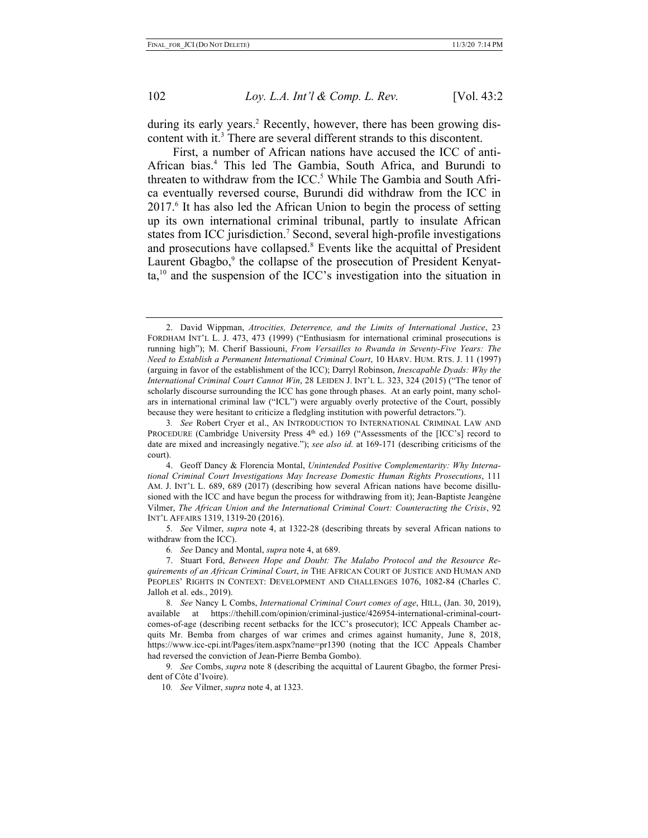during its early years.<sup>2</sup> Recently, however, there has been growing discontent with it. <sup>3</sup> There are several different strands to this discontent.

First, a number of African nations have accused the ICC of anti-African bias.4 This led The Gambia, South Africa, and Burundi to threaten to withdraw from the ICC. <sup>5</sup> While The Gambia and South Africa eventually reversed course, Burundi did withdraw from the ICC in 2017.6 It has also led the African Union to begin the process of setting up its own international criminal tribunal, partly to insulate African states from ICC jurisdiction.<sup>7</sup> Second, several high-profile investigations and prosecutions have collapsed.8 Events like the acquittal of President Laurent Gbagbo,<sup>9</sup> the collapse of the prosecution of President Kenyat $ta<sub>10</sub>$  and the suspension of the ICC's investigation into the situation in

10*. See* Vilmer, *supra* note 4, at 1323.

<sup>2.</sup> David Wippman, *Atrocities, Deterrence, and the Limits of International Justice*, 23 FORDHAM INT'L L. J. 473, 473 (1999) ("Enthusiasm for international criminal prosecutions is running high"); M. Cherif Bassiouni, *From Versailles to Rwanda in Seventy-Five Years: The Need to Establish a Permanent International Criminal Court*, 10 HARV. HUM. RTS. J. 11 (1997) (arguing in favor of the establishment of the ICC); Darryl Robinson, *Inescapable Dyads: Why the International Criminal Court Cannot Win*, 28 LEIDEN J. INT'L L. 323, 324 (2015) ("The tenor of scholarly discourse surrounding the ICC has gone through phases. At an early point, many scholars in international criminal law ("ICL") were arguably overly protective of the Court, possibly because they were hesitant to criticize a fledgling institution with powerful detractors.").

<sup>3</sup>*. See* Robert Cryer et al., AN INTRODUCTION TO INTERNATIONAL CRIMINAL LAW AND PROCEDURE (Cambridge University Press 4th ed.) 169 ("Assessments of the [ICC's] record to date are mixed and increasingly negative."); *see also id.* at 169-171 (describing criticisms of the court).

<sup>4.</sup> Geoff Dancy & Florencia Montal, *Unintended Positive Complementarity: Why International Criminal Court Investigations May Increase Domestic Human Rights Prosecutions*, 111 AM. J. INT'L L. 689, 689 (2017) (describing how several African nations have become disillusioned with the ICC and have begun the process for withdrawing from it); Jean-Baptiste Jeangène Vilmer, *The African Union and the International Criminal Court: Counteracting the Crisis*, 92 INT'L AFFAIRS 1319, 1319-20 (2016).

<sup>5</sup>*. See* Vilmer, *supra* note 4, at 1322-28 (describing threats by several African nations to withdraw from the ICC).

<sup>6</sup>*. See* Dancy and Montal, *supra* note 4, at 689.

<sup>7.</sup> Stuart Ford, *Between Hope and Doubt: The Malabo Protocol and the Resource Requirements of an African Criminal Court*, *in* THE AFRICAN COURT OF JUSTICE AND HUMAN AND PEOPLES' RIGHTS IN CONTEXT: DEVELOPMENT AND CHALLENGES 1076, 1082-84 (Charles C. Jalloh et al. eds., 2019).

<sup>8</sup>*. See* Nancy L Combs, *International Criminal Court comes of age*, HILL, (Jan. 30, 2019), available at https://thehill.com/opinion/criminal-justice/426954-international-criminal-courtcomes-of-age (describing recent setbacks for the ICC's prosecutor); ICC Appeals Chamber acquits Mr. Bemba from charges of war crimes and crimes against humanity, June 8, 2018, https://www.icc-cpi.int/Pages/item.aspx?name=pr1390 (noting that the ICC Appeals Chamber had reversed the conviction of Jean-Pierre Bemba Gombo).

<sup>9</sup>*. See* Combs, *supra* note 8 (describing the acquittal of Laurent Gbagbo, the former President of Côte d'Ivoire).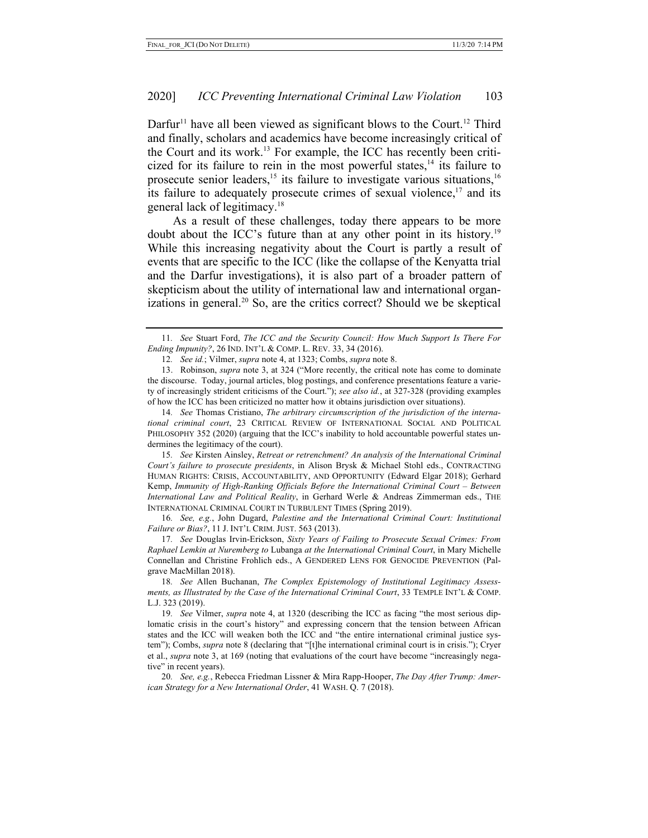Darfur<sup>11</sup> have all been viewed as significant blows to the Court.<sup>12</sup> Third and finally, scholars and academics have become increasingly critical of the Court and its work.13 For example, the ICC has recently been criticized for its failure to rein in the most powerful states, $14$  its failure to prosecute senior leaders,<sup>15</sup> its failure to investigate various situations,<sup>16</sup> its failure to adequately prosecute crimes of sexual violence, $17$  and its general lack of legitimacy.18

As a result of these challenges, today there appears to be more doubt about the ICC's future than at any other point in its history.<sup>19</sup> While this increasing negativity about the Court is partly a result of events that are specific to the ICC (like the collapse of the Kenyatta trial and the Darfur investigations), it is also part of a broader pattern of skepticism about the utility of international law and international organizations in general.<sup>20</sup> So, are the critics correct? Should we be skeptical

14*. See* Thomas Cristiano, *The arbitrary circumscription of the jurisdiction of the international criminal court*, 23 CRITICAL REVIEW OF INTERNATIONAL SOCIAL AND POLITICAL PHILOSOPHY 352 (2020) (arguing that the ICC's inability to hold accountable powerful states undermines the legitimacy of the court).

15*. See* Kirsten Ainsley, *Retreat or retrenchment? An analysis of the International Criminal Court's failure to prosecute presidents*, in Alison Brysk & Michael Stohl eds., CONTRACTING HUMAN RIGHTS: CRISIS, ACCOUNTABILITY, AND OPPORTUNITY (Edward Elgar 2018); Gerhard Kemp, *Immunity of High-Ranking Officials Before the International Criminal Court – Between International Law and Political Reality*, in Gerhard Werle & Andreas Zimmerman eds., THE INTERNATIONAL CRIMINAL COURT IN TURBULENT TIMES (Spring 2019).

16*. See, e.g.*, John Dugard, *Palestine and the International Criminal Court: Institutional Failure or Bias?*, 11 J. INT'L CRIM. JUST. 563 (2013).

17*. See* Douglas Irvin-Erickson, *Sixty Years of Failing to Prosecute Sexual Crimes: From Raphael Lemkin at Nuremberg to* Lubanga *at the International Criminal Court*, in Mary Michelle Connellan and Christine Frohlich eds., A GENDERED LENS FOR GENOCIDE PREVENTION (Palgrave MacMillan 2018).

18*. See* Allen Buchanan, *The Complex Epistemology of Institutional Legitimacy Assessments, as Illustrated by the Case of the International Criminal Court*, 33 TEMPLE INT'L & COMP. L.J. 323 (2019).

19*. See* Vilmer, *supra* note 4, at 1320 (describing the ICC as facing "the most serious diplomatic crisis in the court's history" and expressing concern that the tension between African states and the ICC will weaken both the ICC and "the entire international criminal justice system"); Combs, *supra* note 8 (declaring that "[t]he international criminal court is in crisis."); Cryer et al., *supra* note 3, at 169 (noting that evaluations of the court have become "increasingly negative" in recent years).

20*. See, e.g.*, Rebecca Friedman Lissner & Mira Rapp-Hooper, *The Day After Trump: American Strategy for a New International Order*, 41 WASH. Q. 7 (2018).

<sup>11</sup>*. See* Stuart Ford, *The ICC and the Security Council: How Much Support Is There For Ending Impunity?*, 26 IND. INT'L & COMP. L. REV. 33, 34 (2016).

<sup>12</sup>*. See id.*; Vilmer, *supra* note 4, at 1323; Combs, *supra* note 8.

<sup>13.</sup> Robinson, *supra* note 3, at 324 ("More recently, the critical note has come to dominate the discourse. Today, journal articles, blog postings, and conference presentations feature a variety of increasingly strident criticisms of the Court."); *see also id.*, at 327-328 (providing examples of how the ICC has been criticized no matter how it obtains jurisdiction over situations).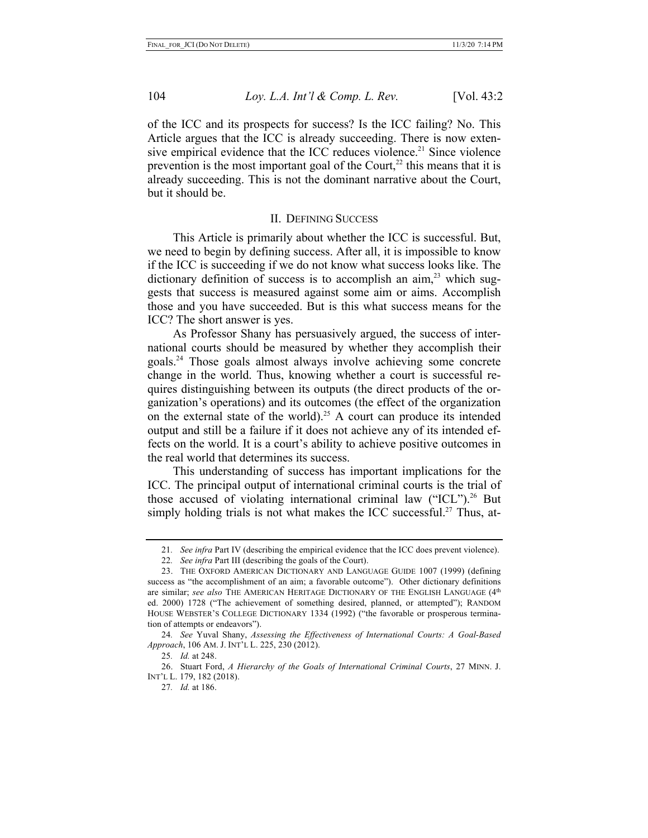of the ICC and its prospects for success? Is the ICC failing? No. This Article argues that the ICC is already succeeding. There is now extensive empirical evidence that the ICC reduces violence.<sup>21</sup> Since violence prevention is the most important goal of the Court, $^{22}$  this means that it is already succeeding. This is not the dominant narrative about the Court, but it should be.

#### II. DEFINING SUCCESS

This Article is primarily about whether the ICC is successful. But, we need to begin by defining success. After all, it is impossible to know if the ICC is succeeding if we do not know what success looks like. The dictionary definition of success is to accomplish an aim, $2<sup>3</sup>$  which suggests that success is measured against some aim or aims. Accomplish those and you have succeeded. But is this what success means for the ICC? The short answer is yes.

As Professor Shany has persuasively argued, the success of international courts should be measured by whether they accomplish their goals.24 Those goals almost always involve achieving some concrete change in the world. Thus, knowing whether a court is successful requires distinguishing between its outputs (the direct products of the organization's operations) and its outcomes (the effect of the organization on the external state of the world).<sup>25</sup> A court can produce its intended output and still be a failure if it does not achieve any of its intended effects on the world. It is a court's ability to achieve positive outcomes in the real world that determines its success.

This understanding of success has important implications for the ICC. The principal output of international criminal courts is the trial of those accused of violating international criminal law ("ICL").<sup>26</sup> But simply holding trials is not what makes the ICC successful.<sup>27</sup> Thus, at-

<sup>21</sup>*. See infra* Part IV (describing the empirical evidence that the ICC does prevent violence).

<sup>22</sup>*. See infra* Part III (describing the goals of the Court).

<sup>23.</sup> THE OXFORD AMERICAN DICTIONARY AND LANGUAGE GUIDE 1007 (1999) (defining success as "the accomplishment of an aim; a favorable outcome"). Other dictionary definitions are similar; *see also* THE AMERICAN HERITAGE DICTIONARY OF THE ENGLISH LANGUAGE (4th ed. 2000) 1728 ("The achievement of something desired, planned, or attempted"); RANDOM HOUSE WEBSTER'S COLLEGE DICTIONARY 1334 (1992) ("the favorable or prosperous termination of attempts or endeavors").

<sup>24</sup>*. See* Yuval Shany, *Assessing the Effectiveness of International Courts: A Goal-Based Approach*, 106 AM. J. INT'L L. 225, 230 (2012).

<sup>25</sup>*. Id.* at 248.

<sup>26.</sup> Stuart Ford, *A Hierarchy of the Goals of International Criminal Courts*, 27 MINN. J. INT'L L. 179, 182 (2018).

<sup>27</sup>*. Id.* at 186.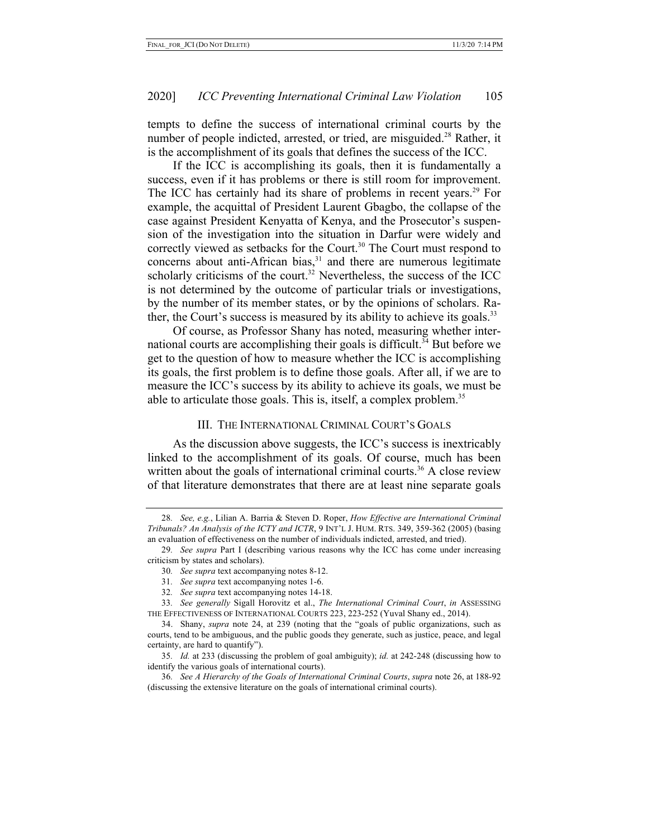tempts to define the success of international criminal courts by the number of people indicted, arrested, or tried, are misguided.<sup>28</sup> Rather, it is the accomplishment of its goals that defines the success of the ICC.

If the ICC is accomplishing its goals, then it is fundamentally a success, even if it has problems or there is still room for improvement. The ICC has certainly had its share of problems in recent years.<sup>29</sup> For example, the acquittal of President Laurent Gbagbo, the collapse of the case against President Kenyatta of Kenya, and the Prosecutor's suspension of the investigation into the situation in Darfur were widely and correctly viewed as setbacks for the Court.<sup>30</sup> The Court must respond to concerns about anti-African bias, $31$  and there are numerous legitimate scholarly criticisms of the court.<sup>32</sup> Nevertheless, the success of the ICC is not determined by the outcome of particular trials or investigations, by the number of its member states, or by the opinions of scholars. Rather, the Court's success is measured by its ability to achieve its goals.<sup>33</sup>

Of course, as Professor Shany has noted, measuring whether international courts are accomplishing their goals is difficult.<sup>34</sup> But before we get to the question of how to measure whether the ICC is accomplishing its goals, the first problem is to define those goals. After all, if we are to measure the ICC's success by its ability to achieve its goals, we must be able to articulate those goals. This is, itself, a complex problem.<sup>35</sup>

#### III. THE INTERNATIONAL CRIMINAL COURT'S GOALS

As the discussion above suggests, the ICC's success is inextricably linked to the accomplishment of its goals. Of course, much has been written about the goals of international criminal courts.<sup>36</sup> A close review of that literature demonstrates that there are at least nine separate goals

<sup>28</sup>*. See, e.g.*, Lilian A. Barria & Steven D. Roper, *How Effective are International Criminal Tribunals? An Analysis of the ICTY and ICTR*, 9 INT'L J. HUM. RTS. 349, 359-362 (2005) (basing an evaluation of effectiveness on the number of individuals indicted, arrested, and tried).

<sup>29</sup>*. See supra* Part I (describing various reasons why the ICC has come under increasing criticism by states and scholars).

<sup>30</sup>*. See supra* text accompanying notes 8-12.

<sup>31</sup>*. See supra* text accompanying notes 1-6.

<sup>32</sup>*. See supra* text accompanying notes 14-18.

<sup>33</sup>*. See generally* Sigall Horovitz et al., *The International Criminal Court*, *in* ASSESSING THE EFFECTIVENESS OF INTERNATIONAL COURTS 223, 223-252 (Yuval Shany ed., 2014).

<sup>34.</sup> Shany, *supra* note 24, at 239 (noting that the "goals of public organizations, such as courts, tend to be ambiguous, and the public goods they generate, such as justice, peace, and legal certainty, are hard to quantify").

<sup>35</sup>*. Id.* at 233 (discussing the problem of goal ambiguity); *id.* at 242-248 (discussing how to identify the various goals of international courts).

<sup>36</sup>*. See A Hierarchy of the Goals of International Criminal Courts*, *supra* note 26, at 188-92 (discussing the extensive literature on the goals of international criminal courts).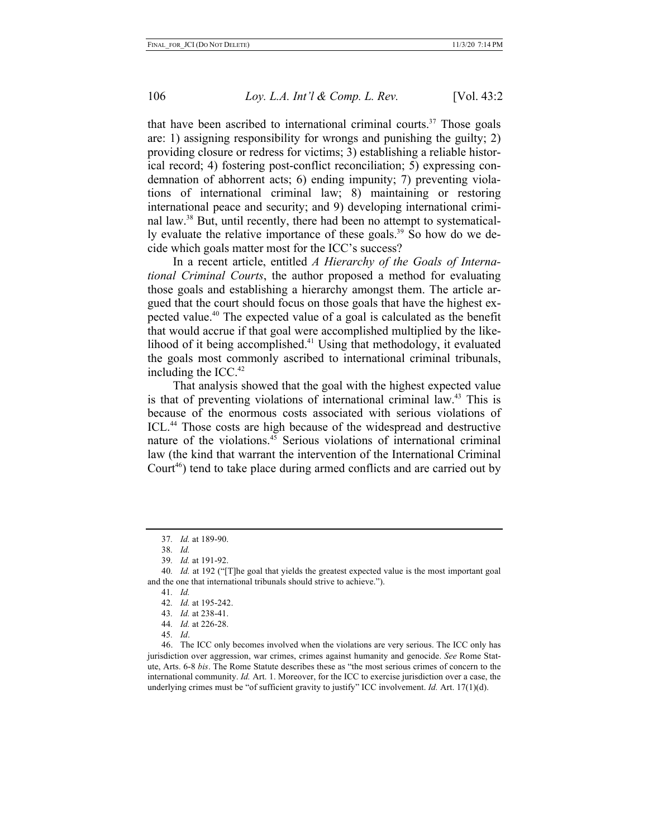that have been ascribed to international criminal courts.<sup>37</sup> Those goals are: 1) assigning responsibility for wrongs and punishing the guilty; 2) providing closure or redress for victims; 3) establishing a reliable historical record; 4) fostering post-conflict reconciliation; 5) expressing condemnation of abhorrent acts; 6) ending impunity; 7) preventing violations of international criminal law; 8) maintaining or restoring international peace and security; and 9) developing international criminal law.38 But, until recently, there had been no attempt to systematically evaluate the relative importance of these goals.<sup>39</sup> So how do we decide which goals matter most for the ICC's success?

In a recent article, entitled *A Hierarchy of the Goals of International Criminal Courts*, the author proposed a method for evaluating those goals and establishing a hierarchy amongst them. The article argued that the court should focus on those goals that have the highest expected value.40 The expected value of a goal is calculated as the benefit that would accrue if that goal were accomplished multiplied by the likelihood of it being accomplished.41 Using that methodology, it evaluated the goals most commonly ascribed to international criminal tribunals, including the  $ICC^{42}$ 

That analysis showed that the goal with the highest expected value is that of preventing violations of international criminal law.43 This is because of the enormous costs associated with serious violations of ICL.<sup>44</sup> Those costs are high because of the widespread and destructive nature of the violations. $45$  Serious violations of international criminal law (the kind that warrant the intervention of the International Criminal Court<sup>46</sup>) tend to take place during armed conflicts and are carried out by

41*. Id.*

- 43*. Id.* at 238-41.
- 44*. Id.* at 226-28.
- 45*. Id*.

<sup>37</sup>*. Id.* at 189-90.

<sup>38</sup>*. Id.*

<sup>39</sup>*. Id.* at 191-92.

<sup>40</sup>*. Id.* at 192 ("[T]he goal that yields the greatest expected value is the most important goal and the one that international tribunals should strive to achieve.").

<sup>42</sup>*. Id.* at 195-242.

<sup>46.</sup> The ICC only becomes involved when the violations are very serious. The ICC only has jurisdiction over aggression, war crimes, crimes against humanity and genocide. *See* Rome Statute, Arts. 6-8 *bis*. The Rome Statute describes these as "the most serious crimes of concern to the international community. *Id.* Art. 1. Moreover, for the ICC to exercise jurisdiction over a case, the underlying crimes must be "of sufficient gravity to justify" ICC involvement. *Id.* Art. 17(1)(d).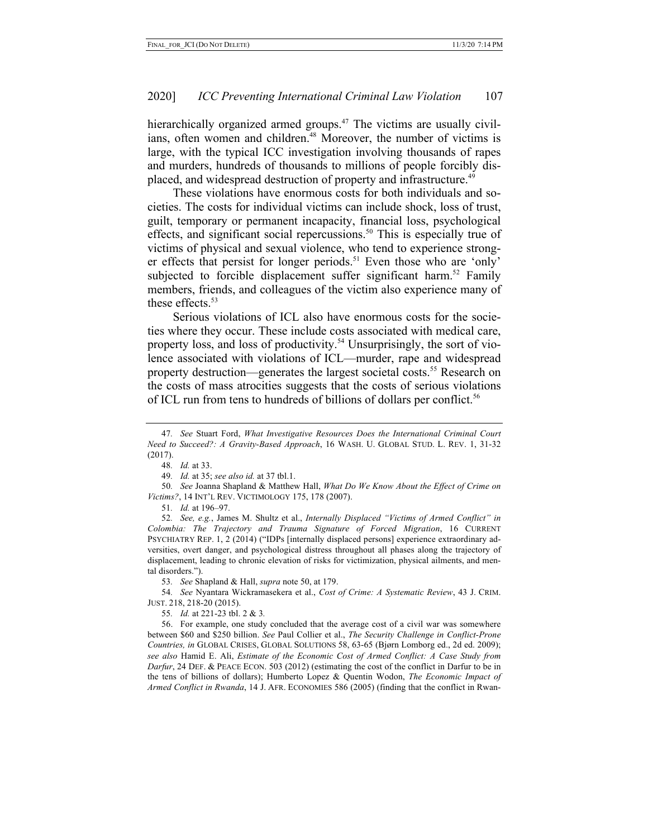hierarchically organized armed groups.<sup> $47$ </sup> The victims are usually civilians, often women and children.<sup>48</sup> Moreover, the number of victims is large, with the typical ICC investigation involving thousands of rapes and murders, hundreds of thousands to millions of people forcibly displaced, and widespread destruction of property and infrastructure.<sup>49</sup>

These violations have enormous costs for both individuals and societies. The costs for individual victims can include shock, loss of trust, guilt, temporary or permanent incapacity, financial loss, psychological effects, and significant social repercussions.<sup>50</sup> This is especially true of victims of physical and sexual violence, who tend to experience stronger effects that persist for longer periods.<sup>51</sup> Even those who are 'only' subjected to forcible displacement suffer significant harm.<sup>52</sup> Family members, friends, and colleagues of the victim also experience many of these effects.<sup>53</sup>

Serious violations of ICL also have enormous costs for the societies where they occur. These include costs associated with medical care, property loss, and loss of productivity.<sup>54</sup> Unsurprisingly, the sort of violence associated with violations of ICL—murder, rape and widespread property destruction—generates the largest societal costs.<sup>55</sup> Research on the costs of mass atrocities suggests that the costs of serious violations of ICL run from tens to hundreds of billions of dollars per conflict.<sup>56</sup>

50*. See* Joanna Shapland & Matthew Hall, *What Do We Know About the Effect of Crime on Victims?*, 14 INT'L REV. VICTIMOLOGY 175, 178 (2007).

51*. Id.* at 196–97.

55*. Id.* at 221-23 tbl. 2 & 3*.*

<sup>47</sup>*. See* Stuart Ford, *What Investigative Resources Does the International Criminal Court Need to Succeed?: A Gravity-Based Approach*, 16 WASH. U. GLOBAL STUD. L. REV. 1, 31-32 (2017).

<sup>48</sup>*. Id.* at 33.

<sup>49</sup>*. Id.* at 35; *see also id.* at 37 tbl.1.

<sup>52</sup>*. See, e.g.*, James M. Shultz et al., *Internally Displaced "Victims of Armed Conflict" in Colombia: The Trajectory and Trauma Signature of Forced Migration*, 16 CURRENT PSYCHIATRY REP. 1, 2 (2014) ("IDPs [internally displaced persons] experience extraordinary adversities, overt danger, and psychological distress throughout all phases along the trajectory of displacement, leading to chronic elevation of risks for victimization, physical ailments, and mental disorders.").

<sup>53</sup>*. See* Shapland & Hall, *supra* note 50, at 179.

<sup>54</sup>*. See* Nyantara Wickramasekera et al., *Cost of Crime: A Systematic Review*, 43 J. CRIM. JUST. 218, 218-20 (2015).

<sup>56.</sup> For example, one study concluded that the average cost of a civil war was somewhere between \$60 and \$250 billion. *See* Paul Collier et al., *The Security Challenge in Conflict-Prone Countries, in* GLOBAL CRISES, GLOBAL SOLUTIONS 58, 63-65 (Bjørn Lomborg ed., 2d ed. 2009); *see also* Hamid E. Ali, *Estimate of the Economic Cost of Armed Conflict: A Case Study from Darfur*, 24 DEF. & PEACE ECON. 503 (2012) (estimating the cost of the conflict in Darfur to be in the tens of billions of dollars); Humberto Lopez & Quentin Wodon, *The Economic Impact of Armed Conflict in Rwanda*, 14 J. AFR. ECONOMIES 586 (2005) (finding that the conflict in Rwan-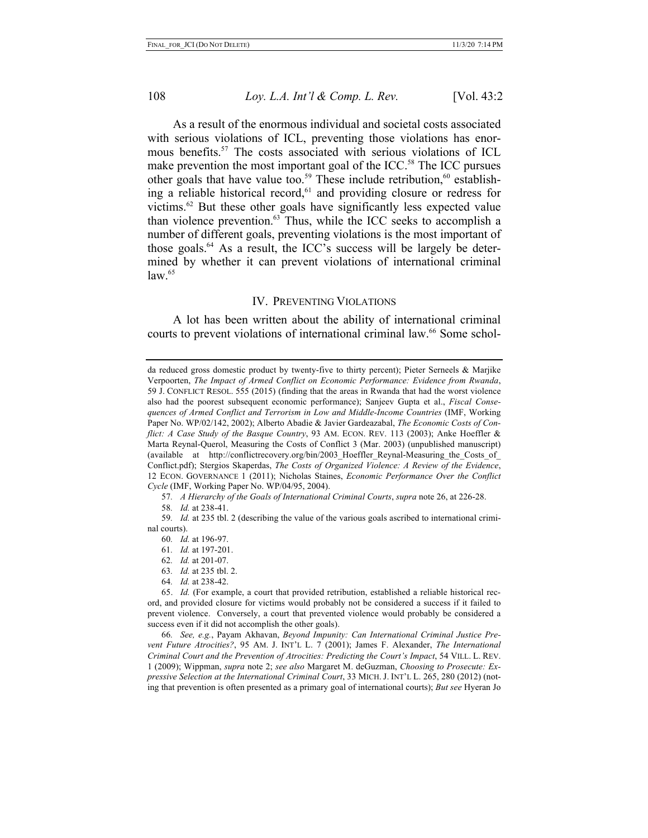As a result of the enormous individual and societal costs associated with serious violations of ICL, preventing those violations has enormous benefits.57 The costs associated with serious violations of ICL make prevention the most important goal of the ICC.<sup>58</sup> The ICC pursues other goals that have value too.<sup>59</sup> These include retribution, $60$  establishing a reliable historical record, $61$  and providing closure or redress for victims. $62$  But these other goals have significantly less expected value than violence prevention.<sup>63</sup> Thus, while the ICC seeks to accomplish a number of different goals, preventing violations is the most important of those goals. $^{64}$  As a result, the ICC's success will be largely be determined by whether it can prevent violations of international criminal  $law<sup>65</sup>$ 

#### IV. PREVENTING VIOLATIONS

A lot has been written about the ability of international criminal courts to prevent violations of international criminal law.<sup>66</sup> Some schol-

57*. A Hierarchy of the Goals of International Criminal Courts*, *supra* note 26, at 226-28.

59*. Id.* at 235 tbl. 2 (describing the value of the various goals ascribed to international criminal courts).

- 63*. Id.* at 235 tbl. 2.
- 64*. Id.* at 238-42.

65. *Id.* (For example, a court that provided retribution, established a reliable historical record, and provided closure for victims would probably not be considered a success if it failed to prevent violence. Conversely, a court that prevented violence would probably be considered a success even if it did not accomplish the other goals).

66*. See, e.g.*, Payam Akhavan, *Beyond Impunity: Can International Criminal Justice Prevent Future Atrocities?*, 95 AM. J. INT'L L. 7 (2001); James F. Alexander, *The International Criminal Court and the Prevention of Atrocities: Predicting the Court's Impact*, 54 VILL. L. REV. 1 (2009); Wippman, *supra* note 2; *see also* Margaret M. deGuzman, *Choosing to Prosecute: Expressive Selection at the International Criminal Court*, 33 MICH. J. INT'L L. 265, 280 (2012) (noting that prevention is often presented as a primary goal of international courts); *But see* Hyeran Jo

da reduced gross domestic product by twenty-five to thirty percent); Pieter Serneels & Marjike Verpoorten, *The Impact of Armed Conflict on Economic Performance: Evidence from Rwanda*, 59 J. CONFLICT RESOL. 555 (2015) (finding that the areas in Rwanda that had the worst violence also had the poorest subsequent economic performance); Sanjeev Gupta et al., *Fiscal Consequences of Armed Conflict and Terrorism in Low and Middle-Income Countries* (IMF, Working Paper No. WP/02/142, 2002); Alberto Abadie & Javier Gardeazabal, *The Economic Costs of Conflict: A Case Study of the Basque Country*, 93 AM. ECON. REV. 113 (2003); Anke Hoeffler & Marta Reynal-Querol, Measuring the Costs of Conflict 3 (Mar. 2003) (unpublished manuscript) (available at http://conflictrecovery.org/bin/2003 Hoeffler Reynal-Measuring the Costs of Conflict.pdf); Stergios Skaperdas, *The Costs of Organized Violence: A Review of the Evidence*, 12 ECON. GOVERNANCE 1 (2011); Nicholas Staines, *Economic Performance Over the Conflict Cycle* (IMF, Working Paper No. WP/04/95, 2004).

<sup>58</sup>*. Id.* at 238-41.

<sup>60</sup>*. Id.* at 196-97.

<sup>61</sup>*. Id.* at 197-201.

<sup>62</sup>*. Id.* at 201-07.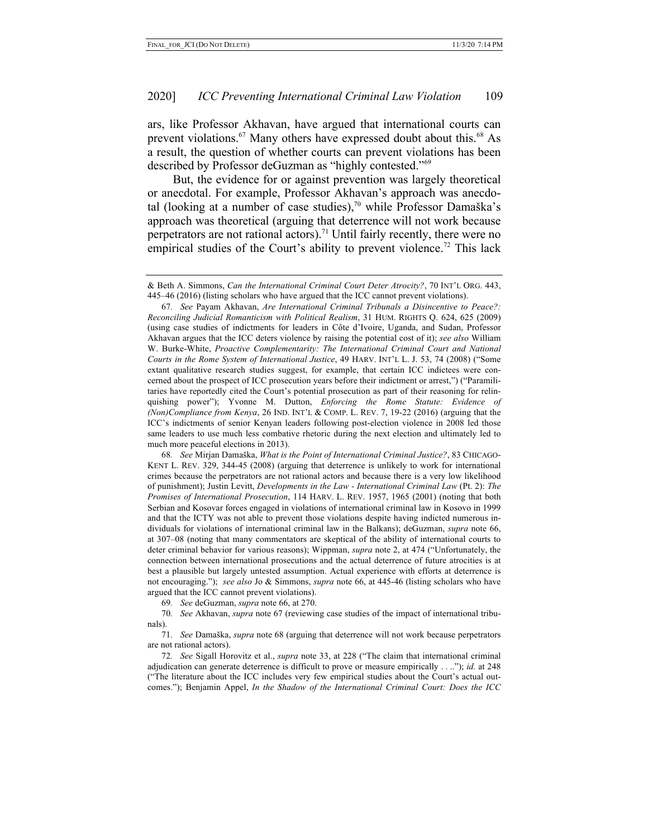ars, like Professor Akhavan, have argued that international courts can prevent violations.<sup>67</sup> Many others have expressed doubt about this.<sup>68</sup> As a result, the question of whether courts can prevent violations has been described by Professor deGuzman as "highly contested."69

But, the evidence for or against prevention was largely theoretical or anecdotal. For example, Professor Akhavan's approach was anecdotal (looking at a number of case studies),<sup>70</sup> while Professor Damaška's approach was theoretical (arguing that deterrence will not work because perpetrators are not rational actors).<sup>71</sup> Until fairly recently, there were no empirical studies of the Court's ability to prevent violence.<sup>72</sup> This lack

67*. See* Payam Akhavan, *Are International Criminal Tribunals a Disincentive to Peace?: Reconciling Judicial Romanticism with Political Realism*, 31 HUM. RIGHTS Q. 624, 625 (2009) (using case studies of indictments for leaders in Côte d'Ivoire, Uganda, and Sudan, Professor Akhavan argues that the ICC deters violence by raising the potential cost of it); *see also* William W. Burke-White, *Proactive Complementarity: The International Criminal Court and National Courts in the Rome System of International Justice*, 49 HARV. INT'L L. J. 53, 74 (2008) ("Some extant qualitative research studies suggest, for example, that certain ICC indictees were concerned about the prospect of ICC prosecution years before their indictment or arrest,") ("Paramilitaries have reportedly cited the Court's potential prosecution as part of their reasoning for relinquishing power"); Yvonne M. Dutton, *Enforcing the Rome Statute: Evidence of (Non)Compliance from Kenya*, 26 IND. INT'L & COMP. L. REV. 7, 19-22 (2016) (arguing that the ICC's indictments of senior Kenyan leaders following post-election violence in 2008 led those same leaders to use much less combative rhetoric during the next election and ultimately led to much more peaceful elections in 2013).

68*. See* Mirjan Damaška, *What is the Point of International Criminal Justice?*, 83 CHICAGO-KENT L. REV. 329, 344-45 (2008) (arguing that deterrence is unlikely to work for international crimes because the perpetrators are not rational actors and because there is a very low likelihood of punishment); Justin Levitt, *Developments in the Law - International Criminal Law* (Pt. 2): *The Promises of International Prosecution*, 114 HARV. L. REV. 1957, 1965 (2001) (noting that both Serbian and Kosovar forces engaged in violations of international criminal law in Kosovo in 1999 and that the ICTY was not able to prevent those violations despite having indicted numerous individuals for violations of international criminal law in the Balkans); deGuzman, *supra* note 66, at 307–08 (noting that many commentators are skeptical of the ability of international courts to deter criminal behavior for various reasons); Wippman, *supra* note 2, at 474 ("Unfortunately, the connection between international prosecutions and the actual deterrence of future atrocities is at best a plausible but largely untested assumption. Actual experience with efforts at deterrence is not encouraging."); *see also* Jo & Simmons, *supra* note 66, at 445-46 (listing scholars who have argued that the ICC cannot prevent violations).

69*. See* deGuzman, *supra* note 66, at 270.

70*. See* Akhavan, *supra* note 67 (reviewing case studies of the impact of international tribunals).

71*. See* Damaška, *supra* note 68 (arguing that deterrence will not work because perpetrators are not rational actors).

72*. See* Sigall Horovitz et al., *supra* note 33, at 228 ("The claim that international criminal adjudication can generate deterrence is difficult to prove or measure empirically . . .."); *id.* at 248 ("The literature about the ICC includes very few empirical studies about the Court's actual outcomes."); Benjamin Appel, *In the Shadow of the International Criminal Court: Does the ICC* 

<sup>&</sup>amp; Beth A. Simmons, *Can the International Criminal Court Deter Atrocity?*, 70 INT'L ORG. 443, 445–46 (2016) (listing scholars who have argued that the ICC cannot prevent violations).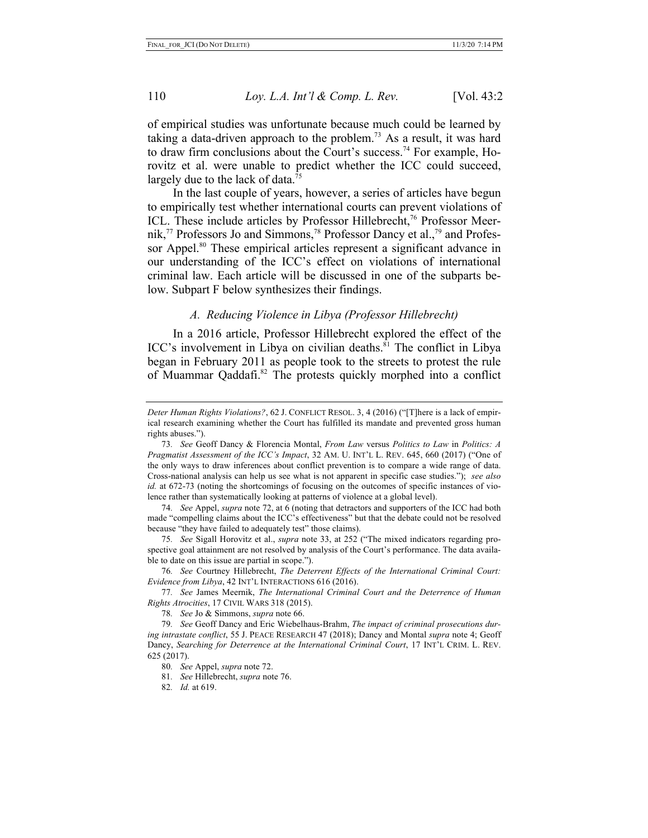of empirical studies was unfortunate because much could be learned by taking a data-driven approach to the problem.<sup>73</sup> As a result, it was hard to draw firm conclusions about the Court's success.<sup>74</sup> For example, Horovitz et al. were unable to predict whether the ICC could succeed, largely due to the lack of data.<sup>75</sup>

In the last couple of years, however, a series of articles have begun to empirically test whether international courts can prevent violations of ICL. These include articles by Professor Hillebrecht,<sup>76</sup> Professor Meernik,<sup>77</sup> Professors Jo and Simmons,<sup>78</sup> Professor Dancy et al.,<sup>79</sup> and Professor Appel.<sup>80</sup> These empirical articles represent a significant advance in our understanding of the ICC's effect on violations of international criminal law. Each article will be discussed in one of the subparts below. Subpart F below synthesizes their findings.

### *A. Reducing Violence in Libya (Professor Hillebrecht)*

In a 2016 article, Professor Hillebrecht explored the effect of the ICC's involvement in Libya on civilian deaths. ${}^{81}$  The conflict in Libya began in February 2011 as people took to the streets to protest the rule of Muammar Qaddafi.<sup>82</sup> The protests quickly morphed into a conflict

74*. See* Appel, *supra* note 72, at 6 (noting that detractors and supporters of the ICC had both made "compelling claims about the ICC's effectiveness" but that the debate could not be resolved because "they have failed to adequately test" those claims).

75*. See* Sigall Horovitz et al., *supra* note 33, at 252 ("The mixed indicators regarding prospective goal attainment are not resolved by analysis of the Court's performance. The data available to date on this issue are partial in scope.").

76*. See* Courtney Hillebrecht, *The Deterrent Effects of the International Criminal Court: Evidence from Libya*, 42 INT'L INTERACTIONS 616 (2016).

77*. See* James Meernik, *The International Criminal Court and the Deterrence of Human Rights Atrocities*, 17 CIVIL WARS 318 (2015).

78*. See* Jo & Simmons, *supra* note 66.

- 80*. See* Appel, *supra* note 72.
- 81*. See* Hillebrecht, *supra* note 76.
- 82*. Id.* at 619.

*Deter Human Rights Violations?*, 62 J. CONFLICT RESOL. 3, 4 (2016) ("[T]here is a lack of empirical research examining whether the Court has fulfilled its mandate and prevented gross human rights abuses.").

<sup>73</sup>*. See* Geoff Dancy & Florencia Montal, *From Law* versus *Politics to Law* in *Politics: A Pragmatist Assessment of the ICC's Impact*, 32 AM. U. INT'L L. REV. 645, 660 (2017) ("One of the only ways to draw inferences about conflict prevention is to compare a wide range of data. Cross-national analysis can help us see what is not apparent in specific case studies."); *see also id.* at 672-73 (noting the shortcomings of focusing on the outcomes of specific instances of violence rather than systematically looking at patterns of violence at a global level).

<sup>79</sup>*. See* Geoff Dancy and Eric Wiebelhaus-Brahm, *The impact of criminal prosecutions during intrastate conflict*, 55 J. PEACE RESEARCH 47 (2018); Dancy and Montal *supra* note 4; Geoff Dancy, *Searching for Deterrence at the International Criminal Court*, 17 INT'L CRIM. L. REV. 625 (2017).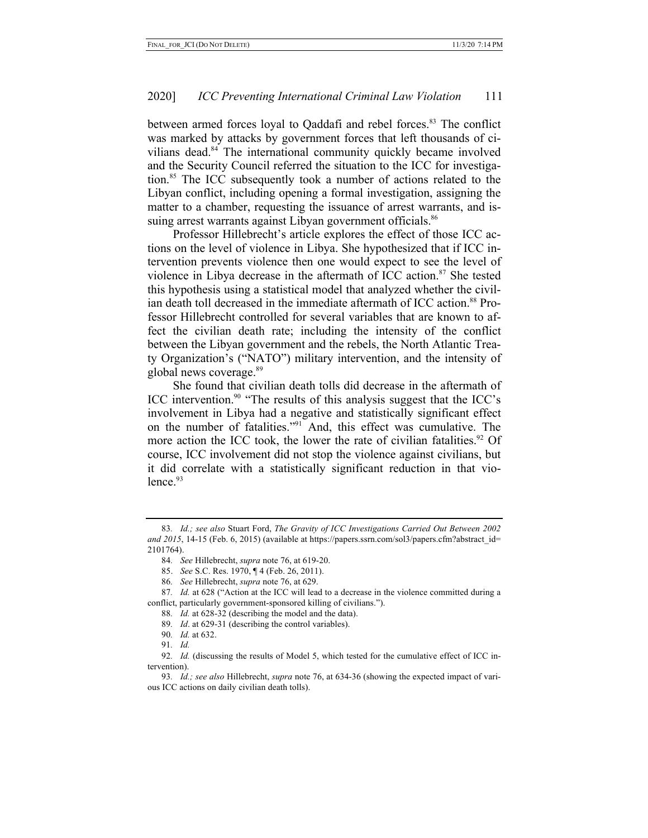between armed forces loyal to Qaddafi and rebel forces.<sup>83</sup> The conflict was marked by attacks by government forces that left thousands of civilians dead.<sup>84</sup> The international community quickly became involved and the Security Council referred the situation to the ICC for investigation.85 The ICC subsequently took a number of actions related to the Libyan conflict, including opening a formal investigation, assigning the matter to a chamber, requesting the issuance of arrest warrants, and issuing arrest warrants against Libyan government officials.<sup>86</sup>

Professor Hillebrecht's article explores the effect of those ICC actions on the level of violence in Libya. She hypothesized that if ICC intervention prevents violence then one would expect to see the level of violence in Libya decrease in the aftermath of ICC action.<sup>87</sup> She tested this hypothesis using a statistical model that analyzed whether the civilian death toll decreased in the immediate aftermath of ICC action.<sup>88</sup> Professor Hillebrecht controlled for several variables that are known to affect the civilian death rate; including the intensity of the conflict between the Libyan government and the rebels, the North Atlantic Treaty Organization's ("NATO") military intervention, and the intensity of global news coverage.<sup>89</sup>

She found that civilian death tolls did decrease in the aftermath of ICC intervention.<sup>90</sup> "The results of this analysis suggest that the ICC's involvement in Libya had a negative and statistically significant effect on the number of fatalities."91 And, this effect was cumulative. The more action the ICC took, the lower the rate of civilian fatalities.<sup>92</sup> Of course, ICC involvement did not stop the violence against civilians, but it did correlate with a statistically significant reduction in that vio $l$ ence. $93$ 

- 89*. Id*. at 629-31 (describing the control variables).
- 90*. Id.* at 632.
- 91*. Id.*

<sup>83</sup>*. Id.; see also* Stuart Ford, *The Gravity of ICC Investigations Carried Out Between 2002 and 2015*, 14-15 (Feb. 6, 2015) (available at https://papers.ssrn.com/sol3/papers.cfm?abstract\_id= 2101764).

<sup>84</sup>*. See* Hillebrecht, *supra* note 76, at 619-20.

<sup>85.</sup> *See* S.C. Res. 1970, ¶ 4 (Feb. 26, 2011).

<sup>86</sup>*. See* Hillebrecht, *supra* note 76, at 629.

<sup>87</sup>*. Id.* at 628 ("Action at the ICC will lead to a decrease in the violence committed during a conflict, particularly government-sponsored killing of civilians.").

<sup>88</sup>*. Id.* at 628-32 (describing the model and the data).

<sup>92</sup>*. Id.* (discussing the results of Model 5, which tested for the cumulative effect of ICC intervention).

<sup>93</sup>*. Id.; see also* Hillebrecht, *supra* note 76, at 634-36 (showing the expected impact of various ICC actions on daily civilian death tolls).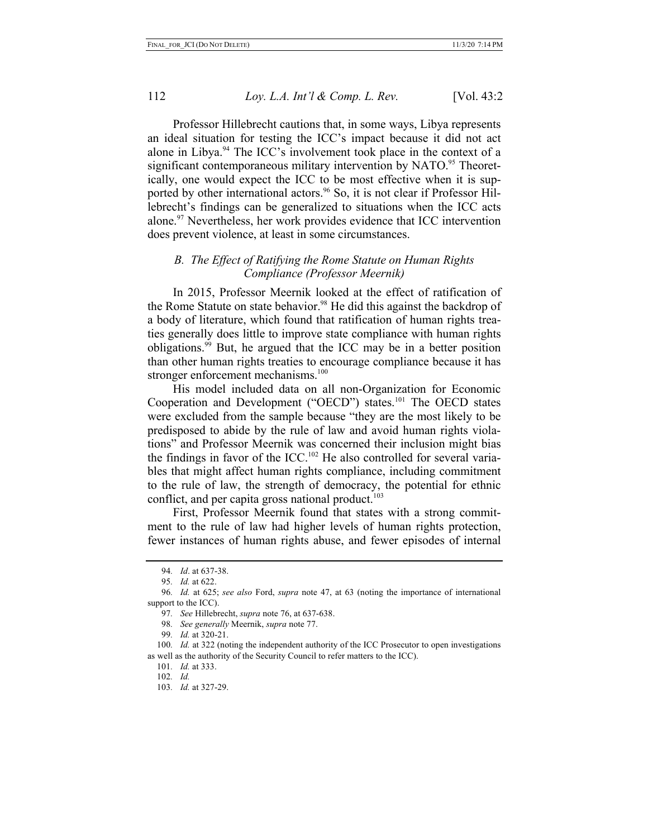Professor Hillebrecht cautions that, in some ways, Libya represents an ideal situation for testing the ICC's impact because it did not act alone in Libya.<sup>94</sup> The ICC's involvement took place in the context of a significant contemporaneous military intervention by NATO.<sup>95</sup> Theoretically, one would expect the ICC to be most effective when it is supported by other international actors.<sup>96</sup> So, it is not clear if Professor Hillebrecht's findings can be generalized to situations when the ICC acts alone.97 Nevertheless, her work provides evidence that ICC intervention does prevent violence, at least in some circumstances.

# *B. The Effect of Ratifying the Rome Statute on Human Rights Compliance (Professor Meernik)*

In 2015, Professor Meernik looked at the effect of ratification of the Rome Statute on state behavior.<sup>98</sup> He did this against the backdrop of a body of literature, which found that ratification of human rights treaties generally does little to improve state compliance with human rights obligations. <sup>99</sup> But, he argued that the ICC may be in a better position than other human rights treaties to encourage compliance because it has stronger enforcement mechanisms.<sup>100</sup>

His model included data on all non-Organization for Economic Cooperation and Development ("OECD") states. <sup>101</sup> The OECD states were excluded from the sample because "they are the most likely to be predisposed to abide by the rule of law and avoid human rights violations" and Professor Meernik was concerned their inclusion might bias the findings in favor of the  $ICC.^{102}$  He also controlled for several variables that might affect human rights compliance, including commitment to the rule of law, the strength of democracy, the potential for ethnic conflict, and per capita gross national product. 103

First, Professor Meernik found that states with a strong commitment to the rule of law had higher levels of human rights protection, fewer instances of human rights abuse, and fewer episodes of internal

<sup>94</sup>*. Id*. at 637-38.

<sup>95</sup>*. Id.* at 622.

<sup>96</sup>*. Id.* at 625; *see also* Ford, *supra* note 47, at 63 (noting the importance of international support to the ICC).

<sup>97</sup>*. See* Hillebrecht, *supra* note 76, at 637-638.

<sup>98</sup>*. See generally* Meernik, *supra* note 77.

<sup>99</sup>*. Id.* at 320-21.

<sup>100</sup>*. Id.* at 322 (noting the independent authority of the ICC Prosecutor to open investigations as well as the authority of the Security Council to refer matters to the ICC).

<sup>101</sup>*. Id.* at 333.

<sup>102</sup>*. Id.*

<sup>103</sup>*. Id.* at 327-29.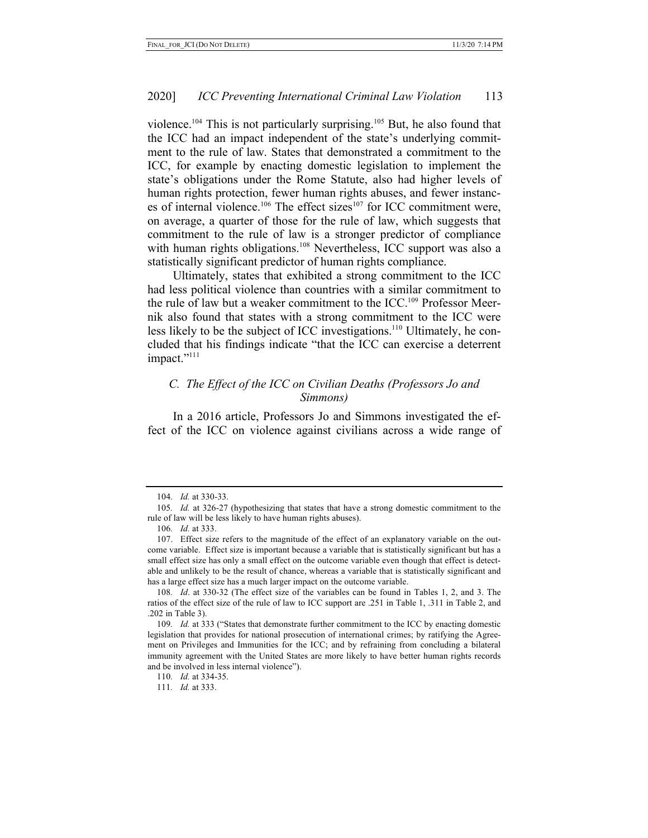violence.<sup>104</sup> This is not particularly surprising.<sup>105</sup> But, he also found that the ICC had an impact independent of the state's underlying commitment to the rule of law. States that demonstrated a commitment to the ICC, for example by enacting domestic legislation to implement the state's obligations under the Rome Statute, also had higher levels of human rights protection, fewer human rights abuses, and fewer instances of internal violence.<sup>106</sup> The effect sizes<sup>107</sup> for ICC commitment were, on average, a quarter of those for the rule of law, which suggests that commitment to the rule of law is a stronger predictor of compliance with human rights obligations.<sup>108</sup> Nevertheless, ICC support was also a statistically significant predictor of human rights compliance.

Ultimately, states that exhibited a strong commitment to the ICC had less political violence than countries with a similar commitment to the rule of law but a weaker commitment to the  $ICC.^{109}$  Professor Meernik also found that states with a strong commitment to the ICC were less likely to be the subject of ICC investigations.<sup>110</sup> Ultimately, he concluded that his findings indicate "that the ICC can exercise a deterrent impact."<sup>111</sup>

### *C. The Effect of the ICC on Civilian Deaths (Professors Jo and Simmons)*

In a 2016 article, Professors Jo and Simmons investigated the effect of the ICC on violence against civilians across a wide range of

<sup>104</sup>*. Id.* at 330-33.

<sup>105</sup>*. Id.* at 326-27 (hypothesizing that states that have a strong domestic commitment to the rule of law will be less likely to have human rights abuses).

<sup>106</sup>*. Id.* at 333.

<sup>107.</sup> Effect size refers to the magnitude of the effect of an explanatory variable on the outcome variable. Effect size is important because a variable that is statistically significant but has a small effect size has only a small effect on the outcome variable even though that effect is detectable and unlikely to be the result of chance, whereas a variable that is statistically significant and has a large effect size has a much larger impact on the outcome variable.

<sup>108</sup>*. Id*. at 330-32 (The effect size of the variables can be found in Tables 1, 2, and 3. The ratios of the effect size of the rule of law to ICC support are .251 in Table 1, .311 in Table 2, and .202 in Table 3).

<sup>109</sup>*. Id.* at 333 ("States that demonstrate further commitment to the ICC by enacting domestic legislation that provides for national prosecution of international crimes; by ratifying the Agreement on Privileges and Immunities for the ICC; and by refraining from concluding a bilateral immunity agreement with the United States are more likely to have better human rights records and be involved in less internal violence").

<sup>110</sup>*. Id.* at 334-35.

<sup>111</sup>*. Id.* at 333.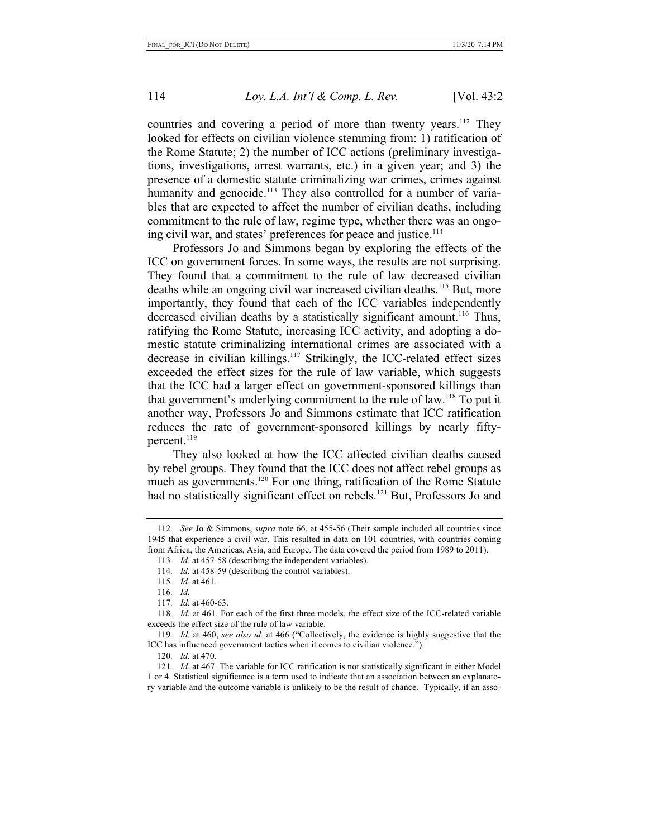countries and covering a period of more than twenty years.<sup>112</sup> They looked for effects on civilian violence stemming from: 1) ratification of the Rome Statute; 2) the number of ICC actions (preliminary investigations, investigations, arrest warrants, etc.) in a given year; and 3) the presence of a domestic statute criminalizing war crimes, crimes against humanity and genocide.<sup>113</sup> They also controlled for a number of variables that are expected to affect the number of civilian deaths, including commitment to the rule of law, regime type, whether there was an ongoing civil war, and states' preferences for peace and justice.<sup>114</sup>

Professors Jo and Simmons began by exploring the effects of the ICC on government forces. In some ways, the results are not surprising. They found that a commitment to the rule of law decreased civilian deaths while an ongoing civil war increased civilian deaths.<sup>115</sup> But, more importantly, they found that each of the ICC variables independently decreased civilian deaths by a statistically significant amount.<sup>116</sup> Thus, ratifying the Rome Statute, increasing ICC activity, and adopting a domestic statute criminalizing international crimes are associated with a decrease in civilian killings.<sup>117</sup> Strikingly, the ICC-related effect sizes exceeded the effect sizes for the rule of law variable, which suggests that the ICC had a larger effect on government-sponsored killings than that government's underlying commitment to the rule of law.118 To put it another way, Professors Jo and Simmons estimate that ICC ratification reduces the rate of government-sponsored killings by nearly fiftypercent. $119$ 

They also looked at how the ICC affected civilian deaths caused by rebel groups. They found that the ICC does not affect rebel groups as much as governments.<sup>120</sup> For one thing, ratification of the Rome Statute had no statistically significant effect on rebels.<sup>121</sup> But, Professors Jo and

<sup>112</sup>*. See* Jo & Simmons, *supra* note 66, at 455-56 (Their sample included all countries since 1945 that experience a civil war. This resulted in data on 101 countries, with countries coming from Africa, the Americas, Asia, and Europe. The data covered the period from 1989 to 2011).

<sup>113</sup>*. Id.* at 457-58 (describing the independent variables).

<sup>114</sup>*. Id.* at 458-59 (describing the control variables).

<sup>115</sup>*. Id.* at 461.

<sup>116</sup>*. Id.*

<sup>117</sup>*. Id.* at 460-63.

<sup>118</sup>*. Id.* at 461. For each of the first three models, the effect size of the ICC-related variable exceeds the effect size of the rule of law variable.

<sup>119</sup>*. Id.* at 460; *see also id.* at 466 ("Collectively, the evidence is highly suggestive that the ICC has influenced government tactics when it comes to civilian violence.").

<sup>120</sup>*. Id*. at 470.

<sup>121</sup>*. Id.* at 467. The variable for ICC ratification is not statistically significant in either Model 1 or 4. Statistical significance is a term used to indicate that an association between an explanatory variable and the outcome variable is unlikely to be the result of chance. Typically, if an asso-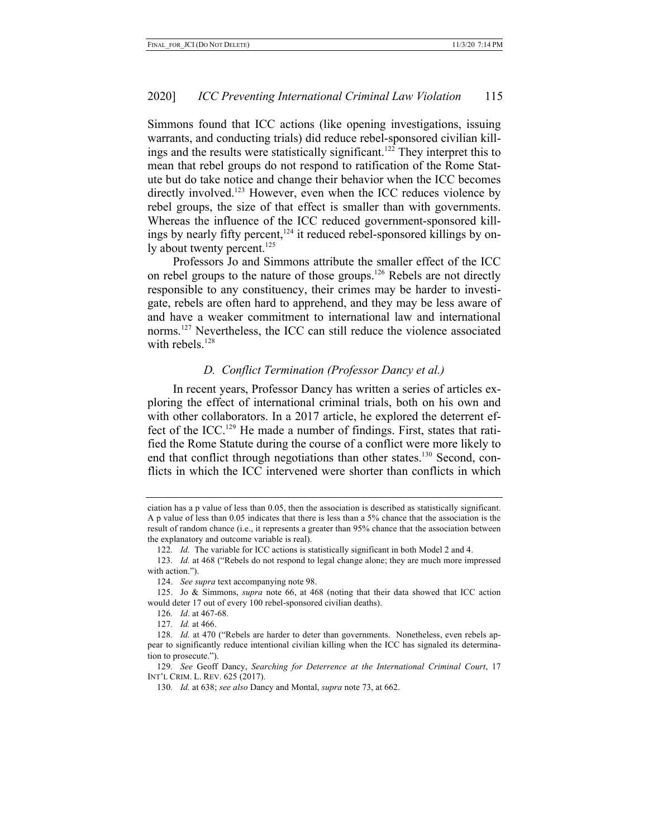Simmons found that ICC actions (like opening investigations, issuing warrants, and conducting trials) did reduce rebel-sponsored civilian killings and the results were statistically significant.<sup>122</sup> They interpret this to mean that rebel groups do not respond to ratification of the Rome Statute but do take notice and change their behavior when the ICC becomes directly involved.<sup>123</sup> However, even when the ICC reduces violence by rebel groups, the size of that effect is smaller than with governments. Whereas the influence of the ICC reduced government-sponsored killings by nearly fifty percent, $124$  it reduced rebel-sponsored killings by only about twenty percent.<sup>125</sup>

Professors Jo and Simmons attribute the smaller effect of the ICC on rebel groups to the nature of those groups.<sup>126</sup> Rebels are not directly responsible to any constituency, their crimes may be harder to investigate, rebels are often hard to apprehend, and they may be less aware of and have a weaker commitment to international law and international norms.127 Nevertheless, the ICC can still reduce the violence associated with rebels. $128$ 

## *D. Conflict Termination (Professor Dancy et al.)*

In recent years, Professor Dancy has written a series of articles exploring the effect of international criminal trials, both on his own and with other collaborators. In a 2017 article, he explored the deterrent effect of the ICC.129 He made a number of findings. First, states that ratified the Rome Statute during the course of a conflict were more likely to end that conflict through negotiations than other states.<sup>130</sup> Second, conflicts in which the ICC intervened were shorter than conflicts in which

129*. See* Geoff Dancy, *Searching for Deterrence at the International Criminal Court*, 17 INT'L CRIM. L. REV. 625 (2017).

ciation has a p value of less than 0.05, then the association is described as statistically significant. A p value of less than 0.05 indicates that there is less than a 5% chance that the association is the result of random chance (i.e., it represents a greater than 95% chance that the association between the explanatory and outcome variable is real).

<sup>122</sup>*. Id.* The variable for ICC actions is statistically significant in both Model 2 and 4.

<sup>123</sup>*. Id.* at 468 ("Rebels do not respond to legal change alone; they are much more impressed with action.").

<sup>124.</sup> *See supra* text accompanying note 98.

<sup>125.</sup> Jo & Simmons, *supra* note 66, at 468 (noting that their data showed that ICC action would deter 17 out of every 100 rebel-sponsored civilian deaths).

<sup>126</sup>*. Id*. at 467-68.

<sup>127</sup>*. Id.* at 466.

<sup>128</sup>*. Id.* at 470 ("Rebels are harder to deter than governments. Nonetheless, even rebels appear to significantly reduce intentional civilian killing when the ICC has signaled its determination to prosecute.").

<sup>130</sup>*. Id.* at 638; *see also* Dancy and Montal, *supra* note 73, at 662.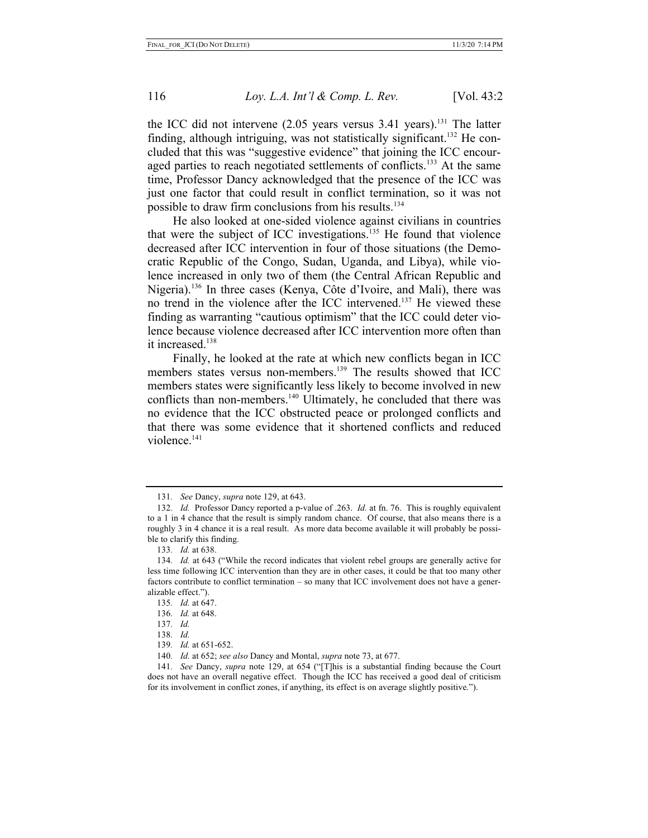the ICC did not intervene  $(2.05$  years versus  $3.41$  years).<sup>131</sup> The latter finding, although intriguing, was not statistically significant.<sup>132</sup> He concluded that this was "suggestive evidence" that joining the ICC encouraged parties to reach negotiated settlements of conflicts.<sup>133</sup> At the same time, Professor Dancy acknowledged that the presence of the ICC was just one factor that could result in conflict termination, so it was not possible to draw firm conclusions from his results.<sup>134</sup>

He also looked at one-sided violence against civilians in countries that were the subject of ICC investigations.<sup>135</sup> He found that violence decreased after ICC intervention in four of those situations (the Democratic Republic of the Congo, Sudan, Uganda, and Libya), while violence increased in only two of them (the Central African Republic and Nigeria).136 In three cases (Kenya, Côte d'Ivoire, and Mali), there was no trend in the violence after the ICC intervened.137 He viewed these finding as warranting "cautious optimism" that the ICC could deter violence because violence decreased after ICC intervention more often than it increased.<sup>138</sup>

Finally, he looked at the rate at which new conflicts began in ICC members states versus non-members.<sup>139</sup> The results showed that ICC members states were significantly less likely to become involved in new conflicts than non-members.<sup>140</sup> Ultimately, he concluded that there was no evidence that the ICC obstructed peace or prolonged conflicts and that there was some evidence that it shortened conflicts and reduced violence.141

139*. Id.* at 651-652.

<sup>131</sup>*. See* Dancy, *supra* note 129, at 643.

<sup>132</sup>*. Id.* Professor Dancy reported a p-value of .263. *Id.* at fn. 76. This is roughly equivalent to a 1 in 4 chance that the result is simply random chance. Of course, that also means there is a roughly 3 in 4 chance it is a real result. As more data become available it will probably be possible to clarify this finding.

<sup>133</sup>*. Id.* at 638.

<sup>134</sup>*. Id.* at 643 ("While the record indicates that violent rebel groups are generally active for less time following ICC intervention than they are in other cases, it could be that too many other factors contribute to conflict termination – so many that ICC involvement does not have a generalizable effect.").

<sup>135</sup>*. Id.* at 647.

<sup>136</sup>*. Id.* at 648.

<sup>137</sup>*. Id.*

<sup>138</sup>*. Id.*

<sup>140</sup>*. Id.* at 652; *see also* Dancy and Montal, *supra* note 73, at 677.

<sup>141</sup>*. See* Dancy, *supra* note 129, at 654 ("[T]his is a substantial finding because the Court does not have an overall negative effect. Though the ICC has received a good deal of criticism for its involvement in conflict zones, if anything, its effect is on average slightly positive.").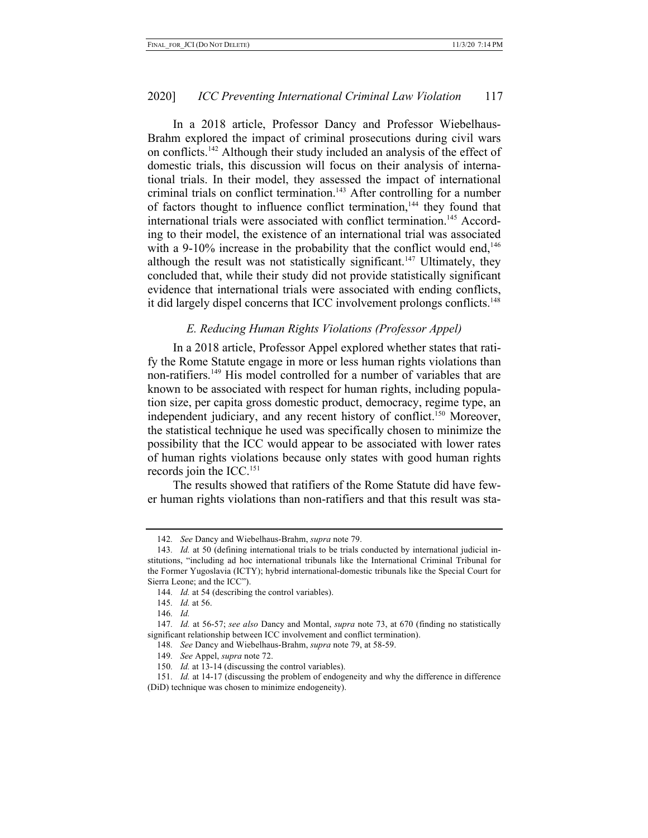In a 2018 article, Professor Dancy and Professor Wiebelhaus-Brahm explored the impact of criminal prosecutions during civil wars on conflicts.142 Although their study included an analysis of the effect of domestic trials, this discussion will focus on their analysis of international trials. In their model, they assessed the impact of international criminal trials on conflict termination.<sup>143</sup> After controlling for a number of factors thought to influence conflict termination,<sup>144</sup> they found that international trials were associated with conflict termination.<sup>145</sup> According to their model, the existence of an international trial was associated with a 9-10% increase in the probability that the conflict would end, $146$ although the result was not statistically significant.<sup>147</sup> Ultimately, they concluded that, while their study did not provide statistically significant evidence that international trials were associated with ending conflicts, it did largely dispel concerns that ICC involvement prolongs conflicts.<sup>148</sup>

#### *E. Reducing Human Rights Violations (Professor Appel)*

In a 2018 article, Professor Appel explored whether states that ratify the Rome Statute engage in more or less human rights violations than non-ratifiers.<sup>149</sup> His model controlled for a number of variables that are known to be associated with respect for human rights, including population size, per capita gross domestic product, democracy, regime type, an independent judiciary, and any recent history of conflict.<sup>150</sup> Moreover, the statistical technique he used was specifically chosen to minimize the possibility that the ICC would appear to be associated with lower rates of human rights violations because only states with good human rights records join the  $ICC.^{151}$ 

The results showed that ratifiers of the Rome Statute did have fewer human rights violations than non-ratifiers and that this result was sta-

148*. See* Dancy and Wiebelhaus-Brahm, *supra* note 79, at 58-59.

<sup>142</sup>*. See* Dancy and Wiebelhaus-Brahm, *supra* note 79.

<sup>143</sup>*. Id.* at 50 (defining international trials to be trials conducted by international judicial institutions, "including ad hoc international tribunals like the International Criminal Tribunal for the Former Yugoslavia (ICTY); hybrid international-domestic tribunals like the Special Court for Sierra Leone; and the ICC").

<sup>144</sup>*. Id.* at 54 (describing the control variables).

<sup>145</sup>*. Id.* at 56.

<sup>146</sup>*. Id.*

<sup>147</sup>*. Id.* at 56-57; *see also* Dancy and Montal, *supra* note 73, at 670 (finding no statistically significant relationship between ICC involvement and conflict termination).

<sup>149</sup>*. See* Appel, *supra* note 72.

<sup>150</sup>*. Id.* at 13-14 (discussing the control variables).

<sup>151</sup>*. Id.* at 14-17 (discussing the problem of endogeneity and why the difference in difference (DiD) technique was chosen to minimize endogeneity).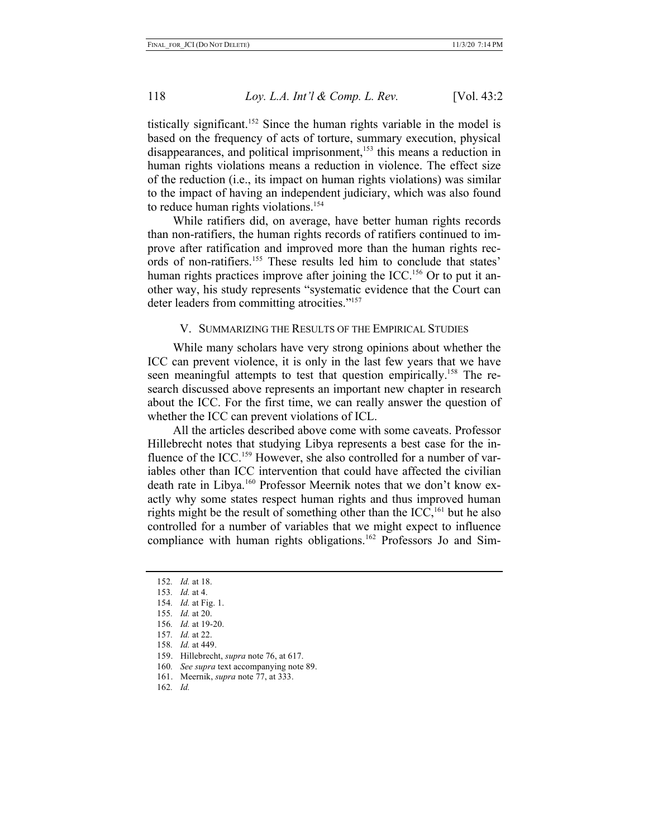tistically significant.<sup>152</sup> Since the human rights variable in the model is based on the frequency of acts of torture, summary execution, physical disappearances, and political imprisonment,<sup>153</sup> this means a reduction in human rights violations means a reduction in violence. The effect size of the reduction (i.e., its impact on human rights violations) was similar to the impact of having an independent judiciary, which was also found to reduce human rights violations.<sup>154</sup>

While ratifiers did, on average, have better human rights records than non-ratifiers, the human rights records of ratifiers continued to improve after ratification and improved more than the human rights records of non-ratifiers.155 These results led him to conclude that states' human rights practices improve after joining the  $ICC.^{156}$  Or to put it another way, his study represents "systematic evidence that the Court can deter leaders from committing atrocities."<sup>157</sup>

#### V. SUMMARIZING THE RESULTS OF THE EMPIRICAL STUDIES

While many scholars have very strong opinions about whether the ICC can prevent violence, it is only in the last few years that we have seen meaningful attempts to test that question empirically.<sup>158</sup> The research discussed above represents an important new chapter in research about the ICC. For the first time, we can really answer the question of whether the ICC can prevent violations of ICL.

All the articles described above come with some caveats. Professor Hillebrecht notes that studying Libya represents a best case for the influence of the ICC.<sup>159</sup> However, she also controlled for a number of variables other than ICC intervention that could have affected the civilian death rate in Libya.<sup>160</sup> Professor Meernik notes that we don't know exactly why some states respect human rights and thus improved human rights might be the result of something other than the  $ICC<sub>161</sub>$  but he also controlled for a number of variables that we might expect to influence compliance with human rights obligations.<sup>162</sup> Professors Jo and Sim-

- 157*. Id.* at 22.
- 158*. Id.* at 449.
- 159. Hillebrecht, *supra* note 76, at 617.
- 160*. See supra* text accompanying note 89.
- 161. Meernik, *supra* note 77, at 333.
- 162*. Id.*

<sup>152</sup>*. Id.* at 18.

<sup>153</sup>*. Id.* at 4.

<sup>154</sup>*. Id.* at Fig. 1.

<sup>155</sup>*. Id.* at 20.

<sup>156</sup>*. Id.* at 19-20.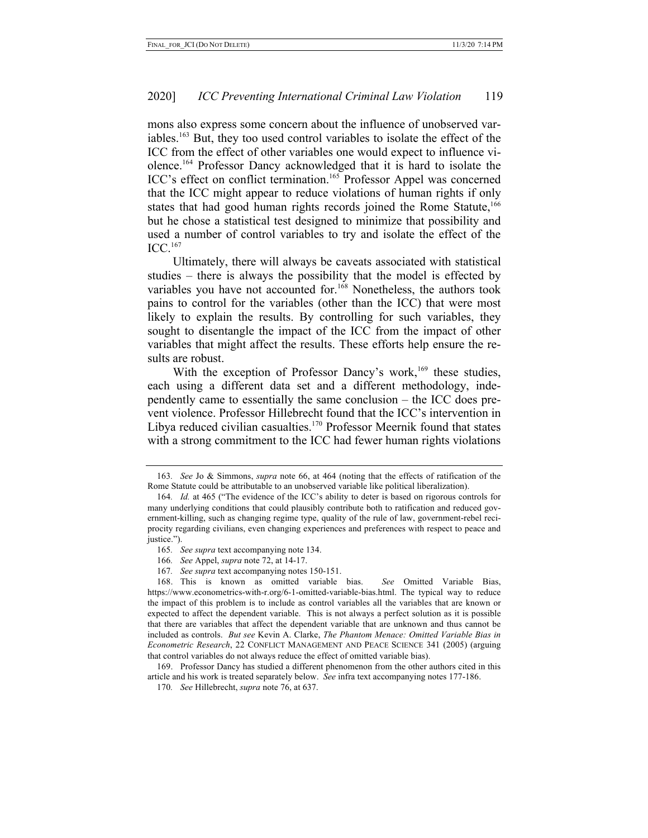mons also express some concern about the influence of unobserved variables.163 But, they too used control variables to isolate the effect of the ICC from the effect of other variables one would expect to influence violence.164 Professor Dancy acknowledged that it is hard to isolate the ICC's effect on conflict termination.<sup>165</sup> Professor Appel was concerned that the ICC might appear to reduce violations of human rights if only states that had good human rights records joined the Rome Statute,<sup>166</sup> but he chose a statistical test designed to minimize that possibility and used a number of control variables to try and isolate the effect of the ICC.167

Ultimately, there will always be caveats associated with statistical studies – there is always the possibility that the model is effected by variables you have not accounted for.<sup>168</sup> Nonetheless, the authors took pains to control for the variables (other than the ICC) that were most likely to explain the results. By controlling for such variables, they sought to disentangle the impact of the ICC from the impact of other variables that might affect the results. These efforts help ensure the results are robust.

With the exception of Professor Dancy's work,<sup>169</sup> these studies, each using a different data set and a different methodology, independently came to essentially the same conclusion – the ICC does prevent violence. Professor Hillebrecht found that the ICC's intervention in Libya reduced civilian casualties.<sup>170</sup> Professor Meernik found that states with a strong commitment to the ICC had fewer human rights violations

<sup>163</sup>*. See* Jo & Simmons, *supra* note 66, at 464 (noting that the effects of ratification of the Rome Statute could be attributable to an unobserved variable like political liberalization).

<sup>164</sup>*. Id.* at 465 ("The evidence of the ICC's ability to deter is based on rigorous controls for many underlying conditions that could plausibly contribute both to ratification and reduced government-killing, such as changing regime type, quality of the rule of law, government-rebel reciprocity regarding civilians, even changing experiences and preferences with respect to peace and justice.").

<sup>165</sup>*. See supra* text accompanying note 134.

<sup>166</sup>*. See* Appel, *supra* note 72, at 14-17.

<sup>167</sup>*. See supra* text accompanying notes 150-151.

<sup>168.</sup> This is known as omitted variable bias. *See* Omitted Variable Bias, https://www.econometrics-with-r.org/6-1-omitted-variable-bias.html. The typical way to reduce the impact of this problem is to include as control variables all the variables that are known or expected to affect the dependent variable. This is not always a perfect solution as it is possible that there are variables that affect the dependent variable that are unknown and thus cannot be included as controls. *But see* Kevin A. Clarke, *The Phantom Menace: Omitted Variable Bias in Econometric Research*, 22 CONFLICT MANAGEMENT AND PEACE SCIENCE 341 (2005) (arguing that control variables do not always reduce the effect of omitted variable bias).

<sup>169.</sup> Professor Dancy has studied a different phenomenon from the other authors cited in this article and his work is treated separately below. *See* infra text accompanying notes 177-186.

<sup>170</sup>*. See* Hillebrecht, *supra* note 76, at 637.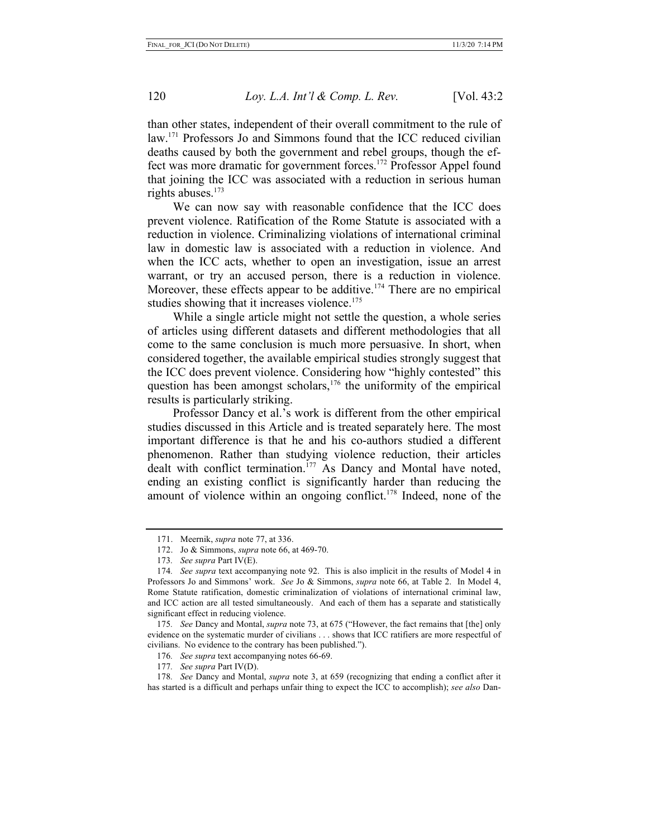than other states, independent of their overall commitment to the rule of law.<sup>171</sup> Professors Jo and Simmons found that the ICC reduced civilian deaths caused by both the government and rebel groups, though the effect was more dramatic for government forces.<sup>172</sup> Professor Appel found that joining the ICC was associated with a reduction in serious human rights abuses.<sup>173</sup>

We can now say with reasonable confidence that the ICC does prevent violence. Ratification of the Rome Statute is associated with a reduction in violence. Criminalizing violations of international criminal law in domestic law is associated with a reduction in violence. And when the ICC acts, whether to open an investigation, issue an arrest warrant, or try an accused person, there is a reduction in violence. Moreover, these effects appear to be additive.<sup>174</sup> There are no empirical studies showing that it increases violence.<sup>175</sup>

While a single article might not settle the question, a whole series of articles using different datasets and different methodologies that all come to the same conclusion is much more persuasive. In short, when considered together, the available empirical studies strongly suggest that the ICC does prevent violence. Considering how "highly contested" this question has been amongst scholars, $176$  the uniformity of the empirical results is particularly striking.

Professor Dancy et al.'s work is different from the other empirical studies discussed in this Article and is treated separately here. The most important difference is that he and his co-authors studied a different phenomenon. Rather than studying violence reduction, their articles dealt with conflict termination.<sup>177</sup> As Dancy and Montal have noted, ending an existing conflict is significantly harder than reducing the amount of violence within an ongoing conflict.<sup>178</sup> Indeed, none of the

173*. See supra* Part IV(E).

175*. See* Dancy and Montal, *supra* note 73, at 675 ("However, the fact remains that [the] only evidence on the systematic murder of civilians . . . shows that ICC ratifiers are more respectful of civilians. No evidence to the contrary has been published.").

- 176*. See supra* text accompanying notes 66-69.
- 177*. See supra* Part IV(D).

178*. See* Dancy and Montal, *supra* note 3, at 659 (recognizing that ending a conflict after it has started is a difficult and perhaps unfair thing to expect the ICC to accomplish); *see also* Dan-

<sup>171.</sup> Meernik, *supra* note 77, at 336.

<sup>172.</sup> Jo & Simmons, *supra* note 66, at 469-70.

<sup>174</sup>*. See supra* text accompanying note 92. This is also implicit in the results of Model 4 in Professors Jo and Simmons' work. *See* Jo & Simmons, *supra* note 66, at Table 2. In Model 4, Rome Statute ratification, domestic criminalization of violations of international criminal law, and ICC action are all tested simultaneously. And each of them has a separate and statistically significant effect in reducing violence.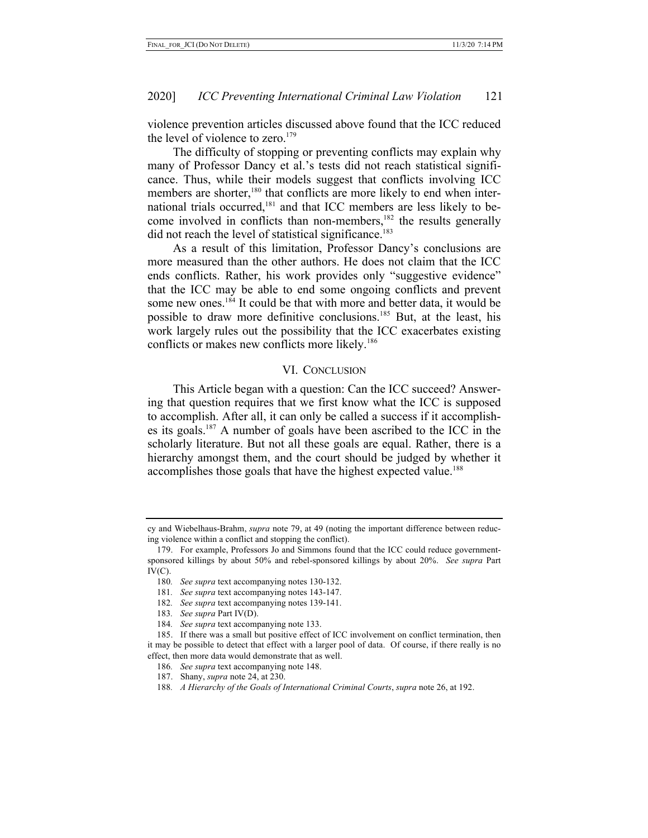violence prevention articles discussed above found that the ICC reduced the level of violence to zero. $179$ 

The difficulty of stopping or preventing conflicts may explain why many of Professor Dancy et al.'s tests did not reach statistical significance. Thus, while their models suggest that conflicts involving ICC members are shorter,<sup>180</sup> that conflicts are more likely to end when international trials occurred,<sup>181</sup> and that ICC members are less likely to become involved in conflicts than non-members,<sup>182</sup> the results generally did not reach the level of statistical significance.<sup>183</sup>

As a result of this limitation, Professor Dancy's conclusions are more measured than the other authors. He does not claim that the ICC ends conflicts. Rather, his work provides only "suggestive evidence" that the ICC may be able to end some ongoing conflicts and prevent some new ones.<sup>184</sup> It could be that with more and better data, it would be possible to draw more definitive conclusions.<sup>185</sup> But, at the least, his work largely rules out the possibility that the ICC exacerbates existing conflicts or makes new conflicts more likely.<sup>186</sup>

#### VI. CONCLUSION

This Article began with a question: Can the ICC succeed? Answering that question requires that we first know what the ICC is supposed to accomplish. After all, it can only be called a success if it accomplishes its goals.187 A number of goals have been ascribed to the ICC in the scholarly literature. But not all these goals are equal. Rather, there is a hierarchy amongst them, and the court should be judged by whether it accomplishes those goals that have the highest expected value.<sup>188</sup>

183*. See supra* Part IV(D).

cy and Wiebelhaus-Brahm, *supra* note 79, at 49 (noting the important difference between reducing violence within a conflict and stopping the conflict).

<sup>179.</sup> For example, Professors Jo and Simmons found that the ICC could reduce governmentsponsored killings by about 50% and rebel-sponsored killings by about 20%. *See supra* Part  $IV(C).$ 

<sup>180</sup>*. See supra* text accompanying notes 130-132.

<sup>181</sup>*. See supra* text accompanying notes 143-147.

<sup>182</sup>*. See supra* text accompanying notes 139-141.

<sup>184</sup>*. See supra* text accompanying note 133.

<sup>185.</sup> If there was a small but positive effect of ICC involvement on conflict termination, then it may be possible to detect that effect with a larger pool of data. Of course, if there really is no effect, then more data would demonstrate that as well.

<sup>186</sup>*. See supra* text accompanying note 148.

<sup>187.</sup> Shany, *supra* note 24, at 230.

<sup>188</sup>*. A Hierarchy of the Goals of International Criminal Courts*, *supra* note 26, at 192.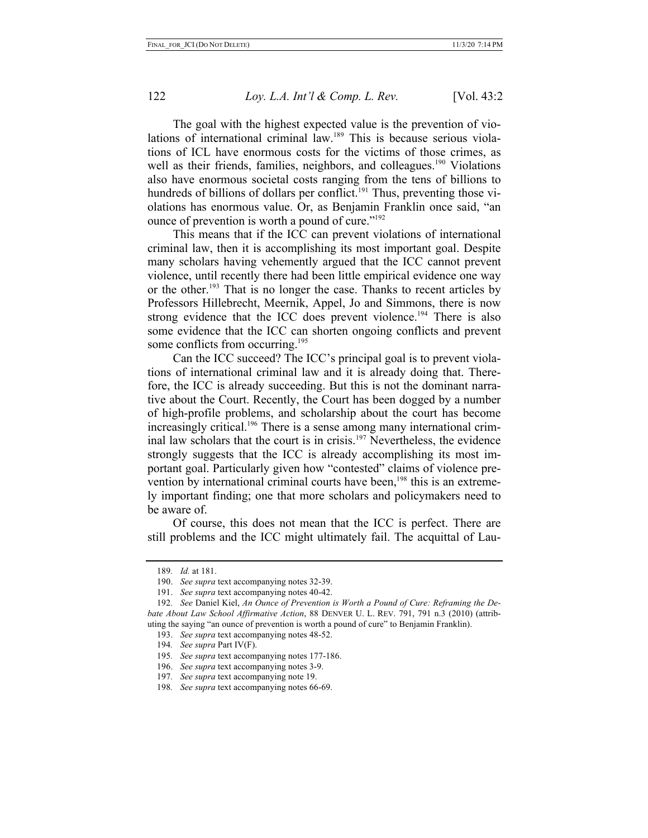The goal with the highest expected value is the prevention of violations of international criminal law.<sup>189</sup> This is because serious violations of ICL have enormous costs for the victims of those crimes, as well as their friends, families, neighbors, and colleagues.<sup>190</sup> Violations also have enormous societal costs ranging from the tens of billions to hundreds of billions of dollars per conflict.<sup>191</sup> Thus, preventing those violations has enormous value. Or, as Benjamin Franklin once said, "an ounce of prevention is worth a pound of cure."<sup>192</sup>

This means that if the ICC can prevent violations of international criminal law, then it is accomplishing its most important goal. Despite many scholars having vehemently argued that the ICC cannot prevent violence, until recently there had been little empirical evidence one way or the other.<sup>193</sup> That is no longer the case. Thanks to recent articles by Professors Hillebrecht, Meernik, Appel, Jo and Simmons, there is now strong evidence that the ICC does prevent violence.<sup>194</sup> There is also some evidence that the ICC can shorten ongoing conflicts and prevent some conflicts from occurring.<sup>195</sup>

Can the ICC succeed? The ICC's principal goal is to prevent violations of international criminal law and it is already doing that. Therefore, the ICC is already succeeding. But this is not the dominant narrative about the Court. Recently, the Court has been dogged by a number of high-profile problems, and scholarship about the court has become increasingly critical.<sup>196</sup> There is a sense among many international criminal law scholars that the court is in crisis.<sup>197</sup> Nevertheless, the evidence strongly suggests that the ICC is already accomplishing its most important goal. Particularly given how "contested" claims of violence prevention by international criminal courts have been,<sup>198</sup> this is an extremely important finding; one that more scholars and policymakers need to be aware of.

Of course, this does not mean that the ICC is perfect. There are still problems and the ICC might ultimately fail. The acquittal of Lau-

<sup>189</sup>*. Id.* at 181.

<sup>190.</sup> *See supra* text accompanying notes 32-39.

<sup>191.</sup> *See supra* text accompanying notes 40-42.

<sup>192</sup>*. See* Daniel Kiel, *An Ounce of Prevention is Worth a Pound of Cure: Reframing the Debate About Law School Affirmative Action*, 88 DENVER U. L. REV. 791, 791 n.3 (2010) (attributing the saying "an ounce of prevention is worth a pound of cure" to Benjamin Franklin).

<sup>193.</sup> *See supra* text accompanying notes 48-52.

<sup>194</sup>*. See supra* Part IV(F).

<sup>195</sup>*. See supra* text accompanying notes 177-186.

<sup>196.</sup> *See supra* text accompanying notes 3-9.

<sup>197</sup>*. See supra* text accompanying note 19.

<sup>198</sup>*. See supra* text accompanying notes 66-69.